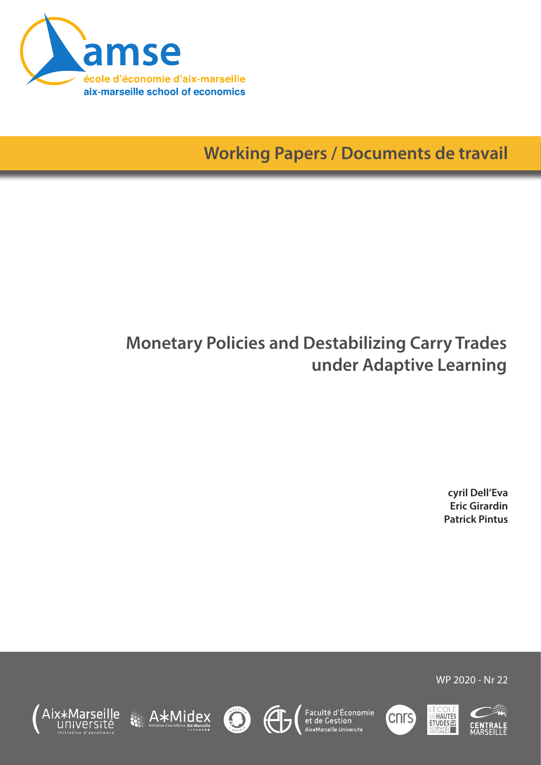

**Working Papers / Documents de travail**

# **Monetary Policies and Destabilizing Carry Trades under Adaptive Learning**

**cyril Dell'Eva Eric Girardin Patrick Pintus**

WP 2020 - Nr 22

**LECOLE**<br> **ETUDES<del>E</del><br>
FTUDESEE**<br>
SCENCER CENTRALE<br>MARSEILLE









Faculté d'Économie<br>et de Gestion<br><sup>Aix\*Marseille Université</sup>

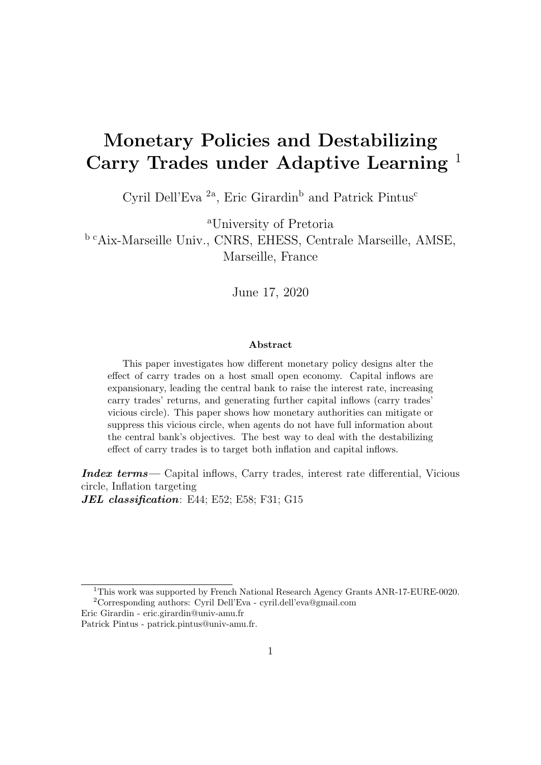# Monetary Policies and Destabilizing Carry Trades under Adaptive Learning<sup>1</sup>

Cyril Dell'Eva  $^{2a}$ , Eric Girardin<sup>b</sup> and Patrick Pintus<sup>c</sup>

<sup>a</sup>University of Pretoria

b cAix-Marseille Univ., CNRS, EHESS, Centrale Marseille, AMSE, Marseille, France

June 17, 2020

#### Abstract

This paper investigates how different monetary policy designs alter the effect of carry trades on a host small open economy. Capital inflows are expansionary, leading the central bank to raise the interest rate, increasing carry trades' returns, and generating further capital inflows (carry trades' vicious circle). This paper shows how monetary authorities can mitigate or suppress this vicious circle, when agents do not have full information about the central bank's objectives. The best way to deal with the destabilizing effect of carry trades is to target both inflation and capital inflows.

Index terms— Capital inflows, Carry trades, interest rate differential, Vicious circle, Inflation targeting

JEL classification: E44; E52; E58; F31; G15

<sup>&</sup>lt;sup>1</sup>This work was supported by French National Research Agency Grants ANR-17-EURE-0020. <sup>2</sup>Corresponding authors: Cyril Dell'Eva - cyril.dell'eva@gmail.com

Eric Girardin - eric.girardin@univ-amu.fr

Patrick Pintus - patrick.pintus@univ-amu.fr.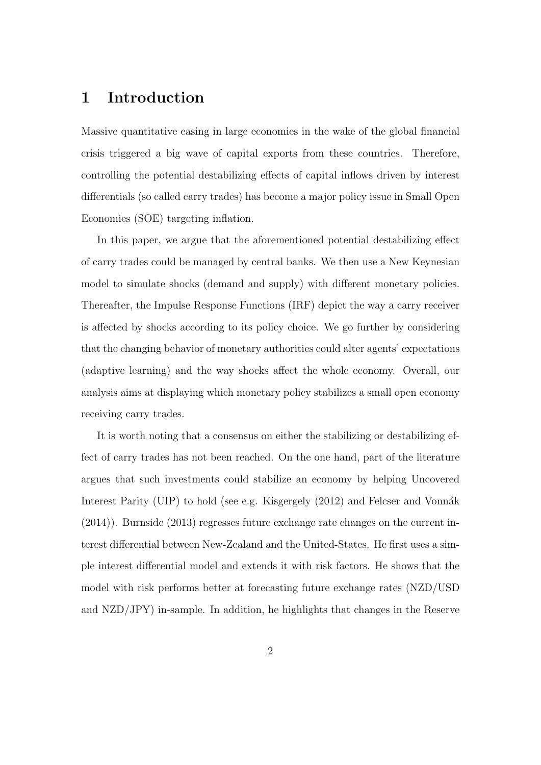## 1 Introduction

Massive quantitative easing in large economies in the wake of the global financial crisis triggered a big wave of capital exports from these countries. Therefore, controlling the potential destabilizing effects of capital inflows driven by interest differentials (so called carry trades) has become a major policy issue in Small Open Economies (SOE) targeting inflation.

In this paper, we argue that the aforementioned potential destabilizing effect of carry trades could be managed by central banks. We then use a New Keynesian model to simulate shocks (demand and supply) with different monetary policies. Thereafter, the Impulse Response Functions (IRF) depict the way a carry receiver is affected by shocks according to its policy choice. We go further by considering that the changing behavior of monetary authorities could alter agents' expectations (adaptive learning) and the way shocks affect the whole economy. Overall, our analysis aims at displaying which monetary policy stabilizes a small open economy receiving carry trades.

It is worth noting that a consensus on either the stabilizing or destabilizing effect of carry trades has not been reached. On the one hand, part of the literature argues that such investments could stabilize an economy by helping Uncovered Interest Parity (UIP) to hold (see e.g. Kisgergely [\(2012\)](#page-32-0) and Felcser and Vonnák [\(2014\)](#page-32-1)). Burnside [\(2013\)](#page-31-0) regresses future exchange rate changes on the current interest differential between New-Zealand and the United-States. He first uses a simple interest differential model and extends it with risk factors. He shows that the model with risk performs better at forecasting future exchange rates (NZD/USD and NZD/JPY) in-sample. In addition, he highlights that changes in the Reserve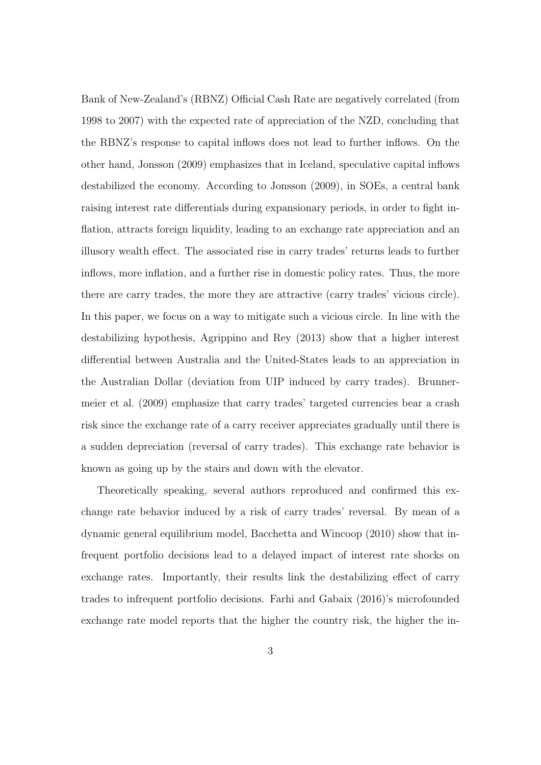Bank of New-Zealand's (RBNZ) Official Cash Rate are negatively correlated (from 1998 to 2007) with the expected rate of appreciation of the NZD, concluding that the RBNZ's response to capital inflows does not lead to further inflows. On the other hand, Jonsson [\(2009\)](#page-32-2) emphasizes that in Iceland, speculative capital inflows destabilized the economy. According to Jonsson [\(2009\)](#page-32-2), in SOEs, a central bank raising interest rate differentials during expansionary periods, in order to fight inflation, attracts foreign liquidity, leading to an exchange rate appreciation and an illusory wealth effect. The associated rise in carry trades' returns leads to further inflows, more inflation, and a further rise in domestic policy rates. Thus, the more there are carry trades, the more they are attractive (carry trades' vicious circle). In this paper, we focus on a way to mitigate such a vicious circle. In line with the destabilizing hypothesis, Agrippino and Rey [\(2013\)](#page-31-1) show that a higher interest differential between Australia and the United-States leads to an appreciation in the Australian Dollar (deviation from UIP induced by carry trades). Brunnermeier et al. [\(2009\)](#page-31-2) emphasize that carry trades' targeted currencies bear a crash risk since the exchange rate of a carry receiver appreciates gradually until there is a sudden depreciation (reversal of carry trades). This exchange rate behavior is known as going up by the stairs and down with the elevator.

Theoretically speaking, several authors reproduced and confirmed this exchange rate behavior induced by a risk of carry trades' reversal. By mean of a dynamic general equilibrium model, Bacchetta and Wincoop [\(2010\)](#page-31-3) show that infrequent portfolio decisions lead to a delayed impact of interest rate shocks on exchange rates. Importantly, their results link the destabilizing effect of carry trades to infrequent portfolio decisions. Farhi and Gabaix [\(2016\)](#page-32-3)'s microfounded exchange rate model reports that the higher the country risk, the higher the in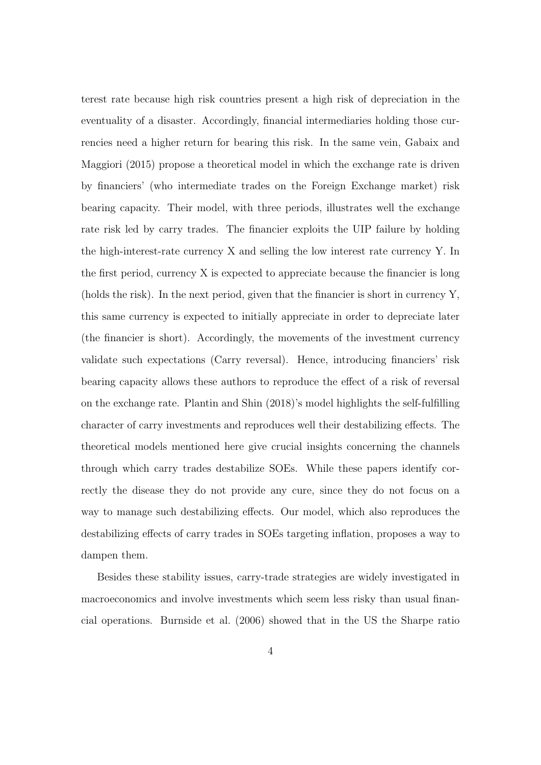terest rate because high risk countries present a high risk of depreciation in the eventuality of a disaster. Accordingly, financial intermediaries holding those currencies need a higher return for bearing this risk. In the same vein, Gabaix and Maggiori [\(2015\)](#page-32-4) propose a theoretical model in which the exchange rate is driven by financiers' (who intermediate trades on the Foreign Exchange market) risk bearing capacity. Their model, with three periods, illustrates well the exchange rate risk led by carry trades. The financier exploits the UIP failure by holding the high-interest-rate currency X and selling the low interest rate currency Y. In the first period, currency X is expected to appreciate because the financier is long (holds the risk). In the next period, given that the financier is short in currency Y, this same currency is expected to initially appreciate in order to depreciate later (the financier is short). Accordingly, the movements of the investment currency validate such expectations (Carry reversal). Hence, introducing financiers' risk bearing capacity allows these authors to reproduce the effect of a risk of reversal on the exchange rate. Plantin and Shin [\(2018\)](#page-32-5)'s model highlights the self-fulfilling character of carry investments and reproduces well their destabilizing effects. The theoretical models mentioned here give crucial insights concerning the channels through which carry trades destabilize SOEs. While these papers identify correctly the disease they do not provide any cure, since they do not focus on a way to manage such destabilizing effects. Our model, which also reproduces the destabilizing effects of carry trades in SOEs targeting inflation, proposes a way to dampen them.

Besides these stability issues, carry-trade strategies are widely investigated in macroeconomics and involve investments which seem less risky than usual financial operations. Burnside et al. [\(2006\)](#page-31-4) showed that in the US the Sharpe ratio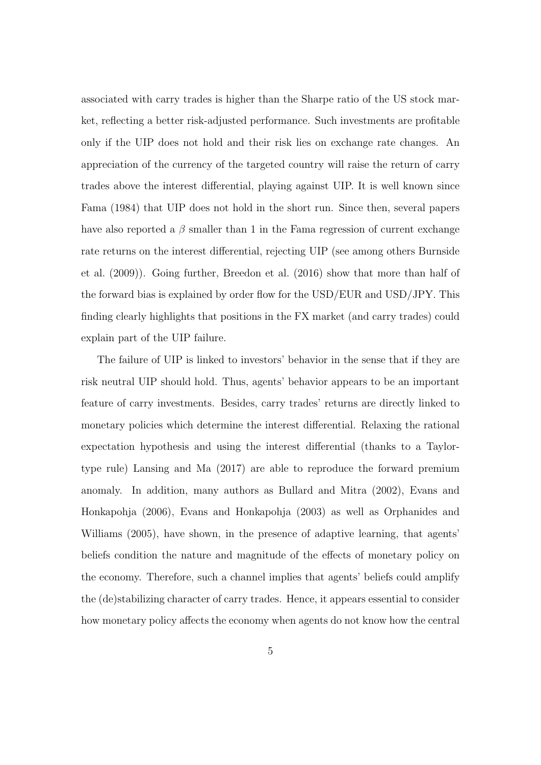associated with carry trades is higher than the Sharpe ratio of the US stock market, reflecting a better risk-adjusted performance. Such investments are profitable only if the UIP does not hold and their risk lies on exchange rate changes. An appreciation of the currency of the targeted country will raise the return of carry trades above the interest differential, playing against UIP. It is well known since Fama [\(1984\)](#page-32-6) that UIP does not hold in the short run. Since then, several papers have also reported a  $\beta$  smaller than 1 in the Fama regression of current exchange rate returns on the interest differential, rejecting UIP (see among others Burnside et al. [\(2009\)](#page-31-5)). Going further, Breedon et al. [\(2016\)](#page-31-6) show that more than half of the forward bias is explained by order flow for the USD/EUR and USD/JPY. This finding clearly highlights that positions in the FX market (and carry trades) could explain part of the UIP failure.

The failure of UIP is linked to investors' behavior in the sense that if they are risk neutral UIP should hold. Thus, agents' behavior appears to be an important feature of carry investments. Besides, carry trades' returns are directly linked to monetary policies which determine the interest differential. Relaxing the rational expectation hypothesis and using the interest differential (thanks to a Taylortype rule) Lansing and Ma [\(2017\)](#page-32-7) are able to reproduce the forward premium anomaly. In addition, many authors as Bullard and Mitra [\(2002\)](#page-31-7), Evans and Honkapohja [\(2006\)](#page-32-8), Evans and Honkapohja [\(2003\)](#page-31-8) as well as Orphanides and Williams [\(2005\)](#page-32-9), have shown, in the presence of adaptive learning, that agents' beliefs condition the nature and magnitude of the effects of monetary policy on the economy. Therefore, such a channel implies that agents' beliefs could amplify the (de)stabilizing character of carry trades. Hence, it appears essential to consider how monetary policy affects the economy when agents do not know how the central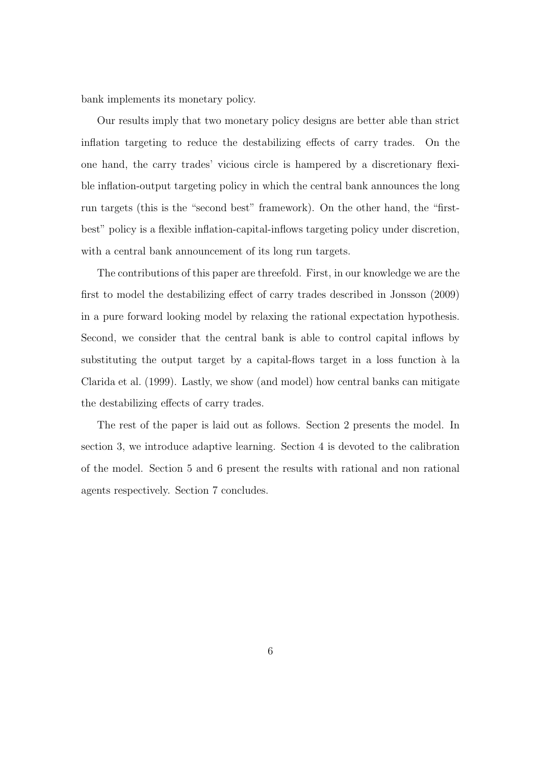bank implements its monetary policy.

Our results imply that two monetary policy designs are better able than strict inflation targeting to reduce the destabilizing effects of carry trades. On the one hand, the carry trades' vicious circle is hampered by a discretionary flexible inflation-output targeting policy in which the central bank announces the long run targets (this is the "second best" framework). On the other hand, the "firstbest" policy is a flexible inflation-capital-inflows targeting policy under discretion, with a central bank announcement of its long run targets.

The contributions of this paper are threefold. First, in our knowledge we are the first to model the destabilizing effect of carry trades described in Jonsson [\(2009\)](#page-32-2) in a pure forward looking model by relaxing the rational expectation hypothesis. Second, we consider that the central bank is able to control capital inflows by substituting the output target by a capital-flows target in a loss function à la Clarida et al. [\(1999\)](#page-31-9). Lastly, we show (and model) how central banks can mitigate the destabilizing effects of carry trades.

The rest of the paper is laid out as follows. Section 2 presents the model. In section 3, we introduce adaptive learning. Section 4 is devoted to the calibration of the model. Section 5 and 6 present the results with rational and non rational agents respectively. Section 7 concludes.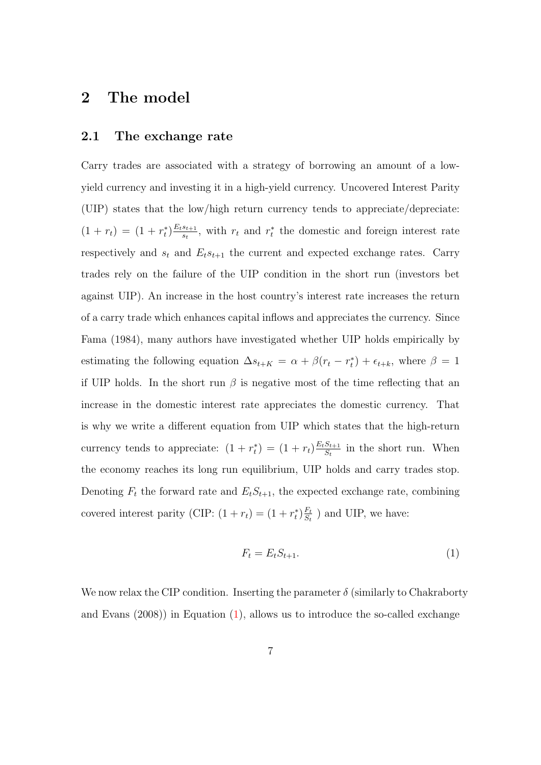### 2 The model

#### 2.1 The exchange rate

Carry trades are associated with a strategy of borrowing an amount of a lowyield currency and investing it in a high-yield currency. Uncovered Interest Parity (UIP) states that the low/high return currency tends to appreciate/depreciate:  $(1 + r_t) = (1 + r_t^*) \frac{E_t s_{t+1}}{s_t}$  $\frac{s_{t+1}}{s_t}$ , with  $r_t$  and  $r_t^*$  the domestic and foreign interest rate respectively and  $s_t$  and  $E_ts_{t+1}$  the current and expected exchange rates. Carry trades rely on the failure of the UIP condition in the short run (investors bet against UIP). An increase in the host country's interest rate increases the return of a carry trade which enhances capital inflows and appreciates the currency. Since Fama [\(1984\)](#page-32-6), many authors have investigated whether UIP holds empirically by estimating the following equation  $\Delta s_{t+K} = \alpha + \beta(r_t - r_t^*) + \epsilon_{t+k}$ , where  $\beta = 1$ if UIP holds. In the short run  $\beta$  is negative most of the time reflecting that an increase in the domestic interest rate appreciates the domestic currency. That is why we write a different equation from UIP which states that the high-return currency tends to appreciate:  $(1 + r_t^*) = (1 + r_t) \frac{E_t S_{t+1}}{S_t}$  $\frac{S_{t+1}}{S_t}$  in the short run. When the economy reaches its long run equilibrium, UIP holds and carry trades stop. Denoting  $F_t$  the forward rate and  $E_tS_{t+1}$ , the expected exchange rate, combining covered interest parity (CIP:  $(1 + r_t) = (1 + r_t^*) \frac{F_t}{S_t}$  $\frac{F_t}{S_t}$ ) and UIP, we have:

<span id="page-7-0"></span>
$$
F_t = E_t S_{t+1}.\tag{1}
$$

We now relax the CIP condition. Inserting the parameter  $\delta$  (similarly to Chakraborty and Evans [\(2008\)](#page-31-10)) in Equation [\(1\)](#page-7-0), allows us to introduce the so-called exchange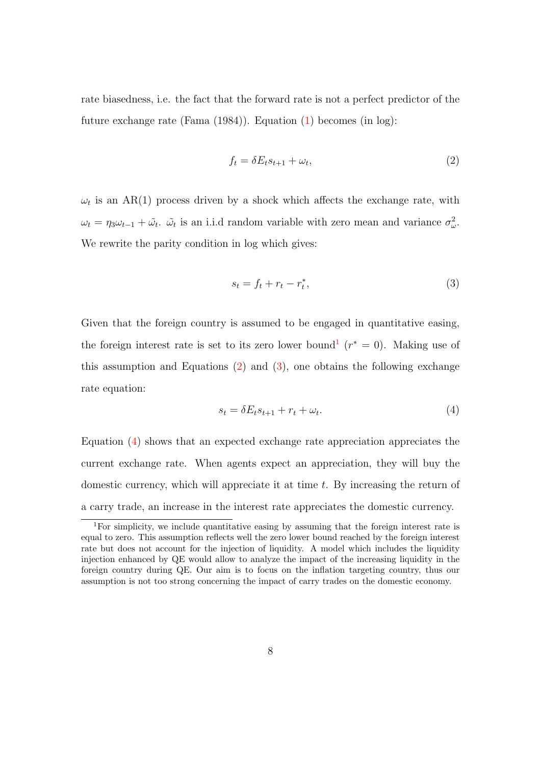rate biasedness, i.e. the fact that the forward rate is not a perfect predictor of the future exchange rate (Fama [\(1984\)](#page-32-6)). Equation [\(1\)](#page-7-0) becomes (in log):

<span id="page-8-1"></span>
$$
f_t = \delta E_t s_{t+1} + \omega_t,\tag{2}
$$

 $\omega_t$  is an AR(1) process driven by a shock which affects the exchange rate, with  $\omega_t = \eta_3 \omega_{t-1} + \tilde{\omega}_t$ .  $\tilde{\omega}_t$  is an i.i.d random variable with zero mean and variance  $\sigma_{\omega}^2$ . We rewrite the parity condition in  $log$  which gives:

<span id="page-8-2"></span>
$$
s_t = f_t + r_t - r_t^*,\tag{3}
$$

Given that the foreign country is assumed to be engaged in quantitative easing, the foreign interest rate is set to its zero lower bound<sup>[1](#page-8-0)</sup> ( $r^* = 0$ ). Making use of this assumption and Equations  $(2)$  and  $(3)$ , one obtains the following exchange rate equation:

<span id="page-8-3"></span>
$$
s_t = \delta E_t s_{t+1} + r_t + \omega_t.
$$
\n<sup>(4)</sup>

Equation [\(4\)](#page-8-3) shows that an expected exchange rate appreciation appreciates the current exchange rate. When agents expect an appreciation, they will buy the domestic currency, which will appreciate it at time  $t$ . By increasing the return of a carry trade, an increase in the interest rate appreciates the domestic currency.

<span id="page-8-0"></span><sup>1</sup>For simplicity, we include quantitative easing by assuming that the foreign interest rate is equal to zero. This assumption reflects well the zero lower bound reached by the foreign interest rate but does not account for the injection of liquidity. A model which includes the liquidity injection enhanced by QE would allow to analyze the impact of the increasing liquidity in the foreign country during QE. Our aim is to focus on the inflation targeting country, thus our assumption is not too strong concerning the impact of carry trades on the domestic economy.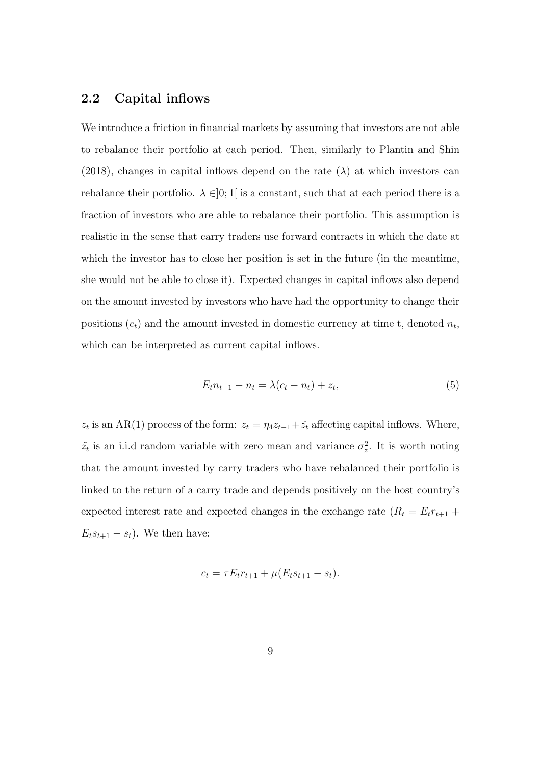### 2.2 Capital inflows

We introduce a friction in financial markets by assuming that investors are not able to rebalance their portfolio at each period. Then, similarly to Plantin and Shin [\(2018\)](#page-32-5), changes in capital inflows depend on the rate  $(\lambda)$  at which investors can rebalance their portfolio.  $\lambda \in ]0;1[$  is a constant, such that at each period there is a fraction of investors who are able to rebalance their portfolio. This assumption is realistic in the sense that carry traders use forward contracts in which the date at which the investor has to close her position is set in the future (in the meantime, she would not be able to close it). Expected changes in capital inflows also depend on the amount invested by investors who have had the opportunity to change their positions  $(c_t)$  and the amount invested in domestic currency at time t, denoted  $n_t$ , which can be interpreted as current capital inflows.

$$
E_t n_{t+1} - n_t = \lambda (c_t - n_t) + z_t,
$$
\n(5)

 $z_t$  is an AR(1) process of the form:  $z_t = \eta_4 z_{t-1} + \tilde{z}_t$  affecting capital inflows. Where,  $\tilde{z}_t$  is an i.i.d random variable with zero mean and variance  $\sigma_z^2$ . It is worth noting that the amount invested by carry traders who have rebalanced their portfolio is linked to the return of a carry trade and depends positively on the host country's expected interest rate and expected changes in the exchange rate ( $R_t = E_t r_{t+1}$ )+  $E_ts_{t+1}-s_t$ ). We then have:

<span id="page-9-0"></span>
$$
c_t = \tau E_t r_{t+1} + \mu (E_t s_{t+1} - s_t).
$$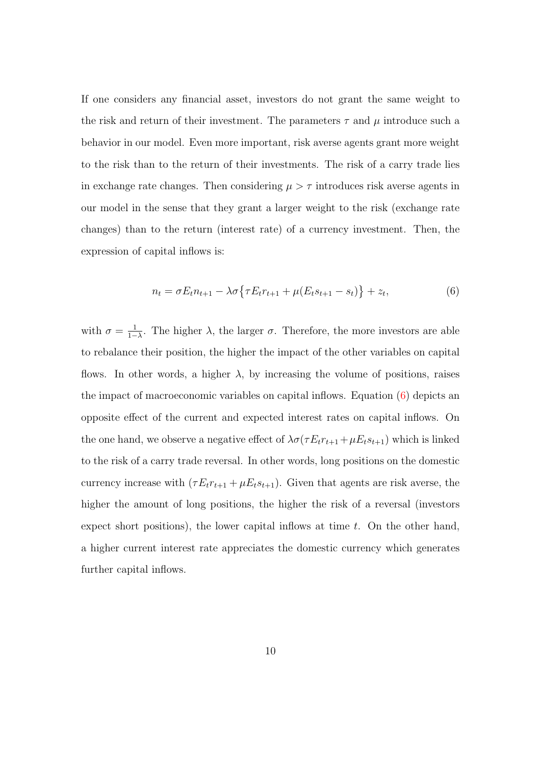If one considers any financial asset, investors do not grant the same weight to the risk and return of their investment. The parameters  $\tau$  and  $\mu$  introduce such a behavior in our model. Even more important, risk averse agents grant more weight to the risk than to the return of their investments. The risk of a carry trade lies in exchange rate changes. Then considering  $\mu > \tau$  introduces risk averse agents in our model in the sense that they grant a larger weight to the risk (exchange rate changes) than to the return (interest rate) of a currency investment. Then, the expression of capital inflows is:

$$
n_t = \sigma E_t n_{t+1} - \lambda \sigma \{ \tau E_t r_{t+1} + \mu (E_t s_{t+1} - s_t) \} + z_t,
$$
\n(6)

with  $\sigma = \frac{1}{1}$  $\frac{1}{1-\lambda}$ . The higher  $\lambda$ , the larger  $\sigma$ . Therefore, the more investors are able to rebalance their position, the higher the impact of the other variables on capital flows. In other words, a higher  $\lambda$ , by increasing the volume of positions, raises the impact of macroeconomic variables on capital inflows. Equation  $(6)$  depicts an opposite effect of the current and expected interest rates on capital inflows. On the one hand, we observe a negative effect of  $\lambda \sigma(\tau E_t r_{t+1} + \mu E_t s_{t+1})$  which is linked to the risk of a carry trade reversal. In other words, long positions on the domestic currency increase with  $(\tau E_t r_{t+1} + \mu E_t s_{t+1})$ . Given that agents are risk averse, the higher the amount of long positions, the higher the risk of a reversal (investors expect short positions), the lower capital inflows at time  $t$ . On the other hand, a higher current interest rate appreciates the domestic currency which generates further capital inflows.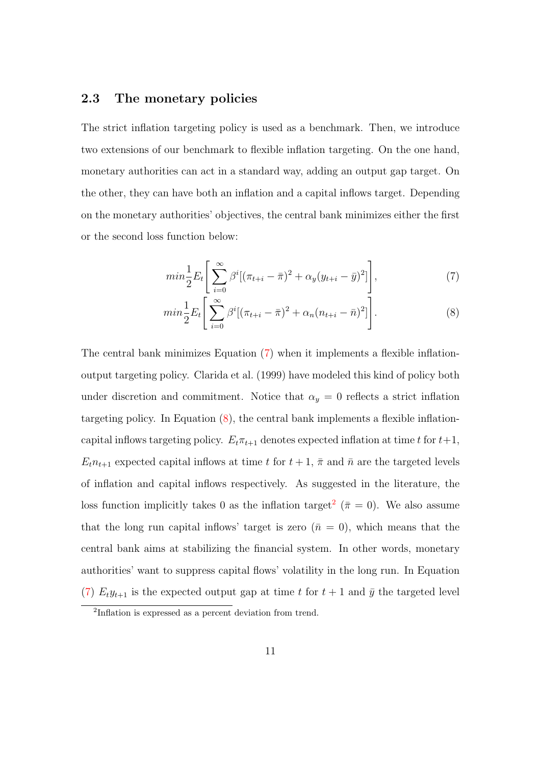### 2.3 The monetary policies

The strict inflation targeting policy is used as a benchmark. Then, we introduce two extensions of our benchmark to flexible inflation targeting. On the one hand, monetary authorities can act in a standard way, adding an output gap target. On the other, they can have both an inflation and a capital inflows target. Depending on the monetary authorities' objectives, the central bank minimizes either the first or the second loss function below:

<span id="page-11-1"></span><span id="page-11-0"></span>
$$
min\frac{1}{2}E_t\left[\sum_{i=0}^{\infty}\beta^i[(\pi_{t+i}-\bar{\pi})^2+\alpha_y(y_{t+i}-\bar{y})^2]\right],
$$
\n(7)

$$
min\frac{1}{2}E_t\left[\sum_{i=0}^{\infty}\beta^i[(\pi_{t+i}-\bar{\pi})^2+\alpha_n(n_{t+i}-\bar{n})^2]\right].
$$
\n(8)

The central bank minimizes Equation [\(7\)](#page-11-0) when it implements a flexible inflationoutput targeting policy. Clarida et al. [\(1999\)](#page-31-9) have modeled this kind of policy both under discretion and commitment. Notice that  $\alpha_y = 0$  reflects a strict inflation targeting policy. In Equation  $(8)$ , the central bank implements a flexible inflationcapital inflows targeting policy.  $E_t \pi_{t+1}$  denotes expected inflation at time t for  $t+1$ ,  $E_t n_{t+1}$  expected capital inflows at time t for  $t + 1$ ,  $\bar{\pi}$  and  $\bar{n}$  are the targeted levels of inflation and capital inflows respectively. As suggested in the literature, the loss function implicitly takes 0 as the inflation target<sup>[2](#page-11-2)</sup> ( $\bar{\pi} = 0$ ). We also assume that the long run capital inflows' target is zero  $(\bar{n} = 0)$ , which means that the central bank aims at stabilizing the financial system. In other words, monetary authorities' want to suppress capital flows' volatility in the long run. In Equation [\(7\)](#page-11-0)  $E_t y_{t+1}$  is the expected output gap at time t for  $t+1$  and  $\bar{y}$  the targeted level

<span id="page-11-2"></span><sup>2</sup> Inflation is expressed as a percent deviation from trend.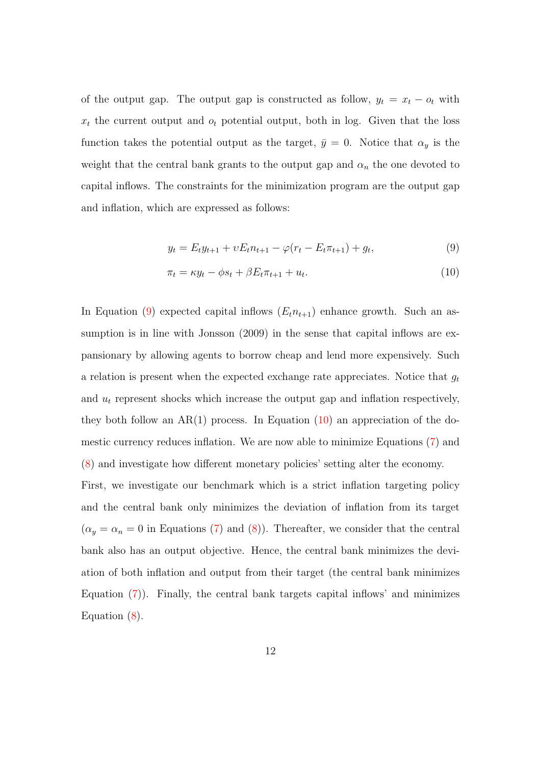of the output gap. The output gap is constructed as follow,  $y_t = x_t - o_t$  with  $x_t$  the current output and  $o_t$  potential output, both in log. Given that the loss function takes the potential output as the target,  $\bar{y} = 0$ . Notice that  $\alpha_y$  is the weight that the central bank grants to the output gap and  $\alpha_n$  the one devoted to capital inflows. The constraints for the minimization program are the output gap and inflation, which are expressed as follows:

<span id="page-12-1"></span><span id="page-12-0"></span>
$$
y_t = E_t y_{t+1} + v E_t n_{t+1} - \varphi (r_t - E_t \pi_{t+1}) + g_t, \tag{9}
$$

$$
\pi_t = \kappa y_t - \phi s_t + \beta E_t \pi_{t+1} + u_t. \tag{10}
$$

In Equation [\(9\)](#page-12-0) expected capital inflows  $(E_t n_{t+1})$  enhance growth. Such an assumption is in line with Jonsson [\(2009\)](#page-32-2) in the sense that capital inflows are expansionary by allowing agents to borrow cheap and lend more expensively. Such a relation is present when the expected exchange rate appreciates. Notice that  $g_t$ and  $u_t$  represent shocks which increase the output gap and inflation respectively, they both follow an  $AR(1)$  process. In Equation [\(10\)](#page-12-1) an appreciation of the domestic currency reduces inflation. We are now able to minimize Equations [\(7\)](#page-11-0) and [\(8\)](#page-11-1) and investigate how different monetary policies' setting alter the economy.

First, we investigate our benchmark which is a strict inflation targeting policy and the central bank only minimizes the deviation of inflation from its target  $(\alpha_y = \alpha_n = 0$  in Equations [\(7\)](#page-11-0) and [\(8\)](#page-11-1)). Thereafter, we consider that the central bank also has an output objective. Hence, the central bank minimizes the deviation of both inflation and output from their target (the central bank minimizes Equation  $(7)$ ). Finally, the central bank targets capital inflows' and minimizes Equation [\(8\)](#page-11-1).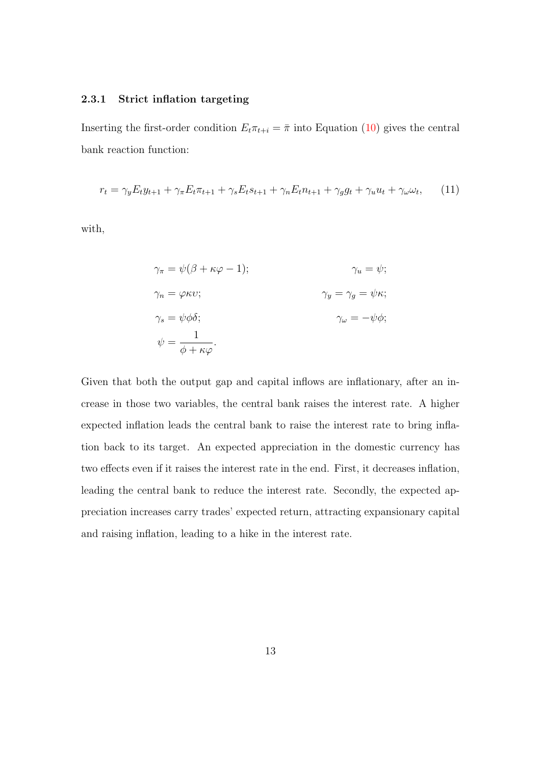#### 2.3.1 Strict inflation targeting

Inserting the first-order condition  $E_t \pi_{t+i} = \bar{\pi}$  into Equation [\(10\)](#page-12-1) gives the central bank reaction function:

<span id="page-13-0"></span>
$$
r_t = \gamma_y E_t y_{t+1} + \gamma_\pi E_t \pi_{t+1} + \gamma_s E_t s_{t+1} + \gamma_n E_t n_{t+1} + \gamma_g g_t + \gamma_u u_t + \gamma_\omega \omega_t, \tag{11}
$$

with,

$$
\gamma_{\pi} = \psi(\beta + \kappa \varphi - 1); \qquad \gamma_{u} = \psi;
$$
  
\n
$$
\gamma_{n} = \varphi \kappa \upsilon; \qquad \gamma_{y} = \gamma_{g} = \psi \kappa;
$$
  
\n
$$
\gamma_{s} = \psi \phi \delta; \qquad \gamma_{\omega} = -\psi \phi;
$$
  
\n
$$
\psi = \frac{1}{\phi + \kappa \varphi}.
$$

Given that both the output gap and capital inflows are inflationary, after an increase in those two variables, the central bank raises the interest rate. A higher expected inflation leads the central bank to raise the interest rate to bring inflation back to its target. An expected appreciation in the domestic currency has two effects even if it raises the interest rate in the end. First, it decreases inflation, leading the central bank to reduce the interest rate. Secondly, the expected appreciation increases carry trades' expected return, attracting expansionary capital and raising inflation, leading to a hike in the interest rate.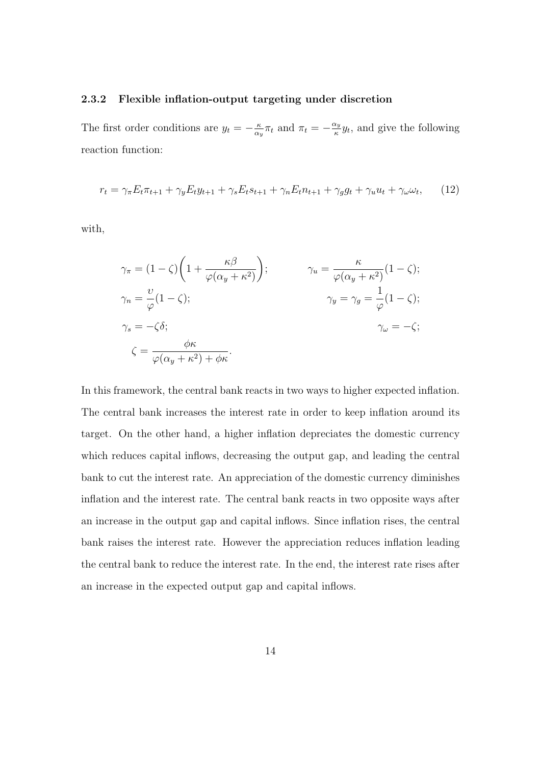#### 2.3.2 Flexible inflation-output targeting under discretion

The first order conditions are  $y_t = -\frac{\kappa}{\alpha}$  $\frac{\kappa}{\alpha_y} \pi_t$  and  $\pi_t = -\frac{\alpha_y}{\kappa}$  $\frac{\chi_y}{\kappa} y_t$ , and give the following reaction function:

<span id="page-14-0"></span>
$$
r_t = \gamma_\pi E_t \pi_{t+1} + \gamma_y E_t y_{t+1} + \gamma_s E_t s_{t+1} + \gamma_n E_t n_{t+1} + \gamma_g g_t + \gamma_u u_t + \gamma_\omega \omega_t, \tag{12}
$$

with,

$$
\gamma_{\pi} = (1 - \zeta) \left( 1 + \frac{\kappa \beta}{\varphi(\alpha_y + \kappa^2)} \right); \qquad \gamma_u = \frac{\kappa}{\varphi(\alpha_y + \kappa^2)} (1 - \zeta);
$$
  

$$
\gamma_n = \frac{\upsilon}{\varphi} (1 - \zeta); \qquad \gamma_y = \gamma_g = \frac{1}{\varphi} (1 - \zeta);
$$
  

$$
\gamma_s = -\zeta \delta;
$$
  

$$
\zeta = \frac{\phi \kappa}{\varphi(\alpha_y + \kappa^2) + \phi \kappa}.
$$

In this framework, the central bank reacts in two ways to higher expected inflation. The central bank increases the interest rate in order to keep inflation around its target. On the other hand, a higher inflation depreciates the domestic currency which reduces capital inflows, decreasing the output gap, and leading the central bank to cut the interest rate. An appreciation of the domestic currency diminishes inflation and the interest rate. The central bank reacts in two opposite ways after an increase in the output gap and capital inflows. Since inflation rises, the central bank raises the interest rate. However the appreciation reduces inflation leading the central bank to reduce the interest rate. In the end, the interest rate rises after an increase in the expected output gap and capital inflows.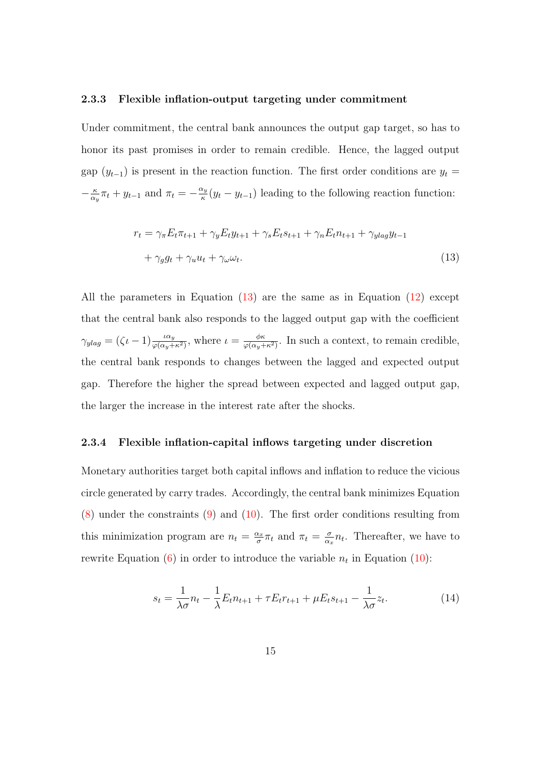#### 2.3.3 Flexible inflation-output targeting under commitment

Under commitment, the central bank announces the output gap target, so has to honor its past promises in order to remain credible. Hence, the lagged output gap  $(y_{t-1})$  is present in the reaction function. The first order conditions are  $y_t =$  $-\frac{\kappa}{\alpha}$  $\frac{\kappa}{\alpha_y} \pi_t + y_{t-1}$  and  $\pi_t = -\frac{\alpha_y}{\kappa}$  $\frac{x_y}{\kappa}(y_t - y_{t-1})$  leading to the following reaction function:

<span id="page-15-0"></span>
$$
r_t = \gamma_\pi E_t \pi_{t+1} + \gamma_y E_t y_{t+1} + \gamma_s E_t s_{t+1} + \gamma_n E_t n_{t+1} + \gamma_{y \log y} y_{t-1}
$$

$$
+ \gamma_g g_t + \gamma_u u_t + \gamma_\omega \omega_t.
$$
(13)

All the parameters in Equation [\(13\)](#page-15-0) are the same as in Equation [\(12\)](#page-14-0) except that the central bank also responds to the lagged output gap with the coefficient  $\gamma_{ylag} = (\zeta \iota - 1) \frac{\iota \alpha_y}{\varphi(\alpha_y + \kappa^2)}$ , where  $\iota = \frac{\phi \kappa}{\varphi(\alpha_y + \kappa^2)}$  $\frac{\phi \kappa}{\varphi(\alpha_y + \kappa^2)}$ . In such a context, to remain credible, the central bank responds to changes between the lagged and expected output gap. Therefore the higher the spread between expected and lagged output gap, the larger the increase in the interest rate after the shocks.

#### 2.3.4 Flexible inflation-capital inflows targeting under discretion

Monetary authorities target both capital inflows and inflation to reduce the vicious circle generated by carry trades. Accordingly, the central bank minimizes Equation  $(8)$  under the constraints  $(9)$  and  $(10)$ . The first order conditions resulting from this minimization program are  $n_t = \frac{\alpha_x}{\sigma}$  $\frac{\alpha_x}{\sigma} \pi_t$  and  $\pi_t = \frac{\sigma}{\alpha_s}$  $\frac{\sigma}{\alpha_x} n_t$ . Thereafter, we have to rewrite Equation [\(6\)](#page-9-0) in order to introduce the variable  $n_t$  in Equation [\(10\)](#page-12-1):

$$
s_t = \frac{1}{\lambda \sigma} n_t - \frac{1}{\lambda} E_t n_{t+1} + \tau E_t r_{t+1} + \mu E_t s_{t+1} - \frac{1}{\lambda \sigma} z_t.
$$
 (14)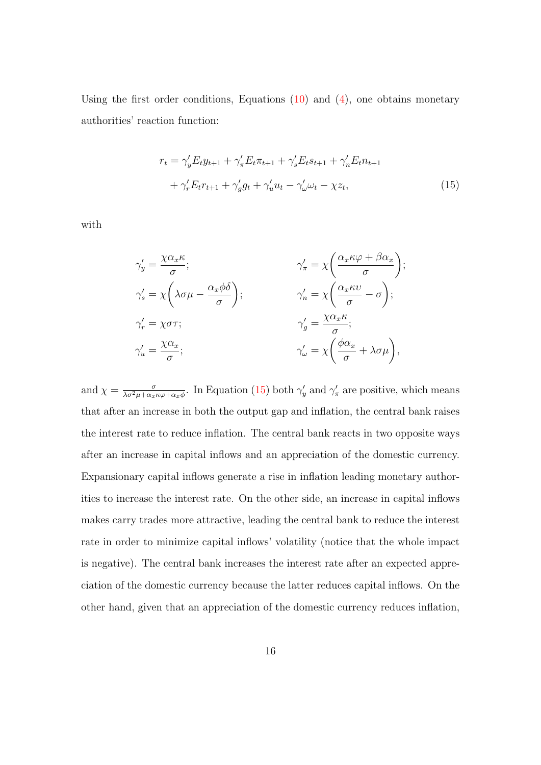Using the first order conditions, Equations  $(10)$  and  $(4)$ , one obtains monetary authorities' reaction function:

<span id="page-16-0"></span>
$$
r_{t} = \gamma_{y}' E_{t} y_{t+1} + \gamma_{\pi}' E_{t} \pi_{t+1} + \gamma_{s}' E_{t} s_{t+1} + \gamma_{n}' E_{t} n_{t+1} + \gamma_{r}' E_{t} r_{t+1} + \gamma_{g}' g_{t} + \gamma_{u}' u_{t} - \gamma_{\omega}' \omega_{t} - \chi z_{t},
$$
\n(15)

with

$$
\gamma'_{y} = \frac{\chi \alpha_{x} \kappa}{\sigma};
$$
\n
$$
\gamma'_{s} = \chi \left( \lambda \sigma \mu - \frac{\alpha_{x} \phi \delta}{\sigma} \right);
$$
\n
$$
\gamma'_{r} = \chi \left( \frac{\alpha_{x} \kappa \varphi + \beta \alpha_{x}}{\sigma} \right);
$$
\n
$$
\gamma'_{r} = \chi \sigma \tau;
$$
\n
$$
\gamma'_{u} = \frac{\chi \alpha_{x}}{\sigma};
$$
\n
$$
\gamma'_{u} = \frac{\chi \alpha_{x}}{\sigma};
$$
\n
$$
\gamma'_{\omega} = \chi \left( \frac{\phi \alpha_{x}}{\sigma} + \lambda \sigma \mu \right),
$$

and  $\chi = \frac{\sigma}{\sqrt{\sigma^2 + \alpha}}$  $\frac{\sigma}{\lambda \sigma^2 \mu + \alpha_x \kappa \varphi + \alpha_x \varphi}$ . In Equation [\(15\)](#page-16-0) both  $\gamma'_y$  and  $\gamma'_\pi$  are positive, which means that after an increase in both the output gap and inflation, the central bank raises the interest rate to reduce inflation. The central bank reacts in two opposite ways after an increase in capital inflows and an appreciation of the domestic currency. Expansionary capital inflows generate a rise in inflation leading monetary authorities to increase the interest rate. On the other side, an increase in capital inflows makes carry trades more attractive, leading the central bank to reduce the interest rate in order to minimize capital inflows' volatility (notice that the whole impact is negative). The central bank increases the interest rate after an expected appreciation of the domestic currency because the latter reduces capital inflows. On the other hand, given that an appreciation of the domestic currency reduces inflation,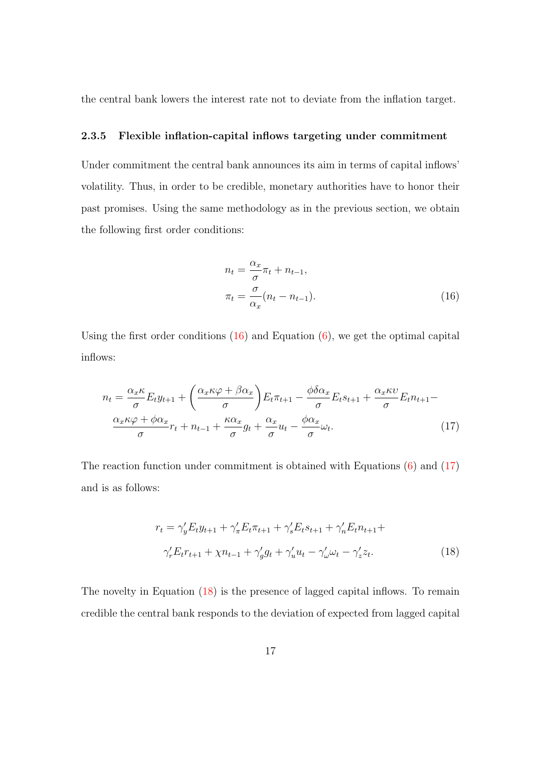the central bank lowers the interest rate not to deviate from the inflation target.

#### 2.3.5 Flexible inflation-capital inflows targeting under commitment

Under commitment the central bank announces its aim in terms of capital inflows' volatility. Thus, in order to be credible, monetary authorities have to honor their past promises. Using the same methodology as in the previous section, we obtain the following first order conditions:

<span id="page-17-1"></span><span id="page-17-0"></span>
$$
n_t = \frac{\alpha_x}{\sigma} \pi_t + n_{t-1},
$$
  

$$
\pi_t = \frac{\sigma}{\alpha_x} (n_t - n_{t-1}).
$$
 (16)

Using the first order conditions  $(16)$  and Equation  $(6)$ , we get the optimal capital inflows:

$$
n_{t} = \frac{\alpha_{x}\kappa}{\sigma}E_{t}y_{t+1} + \left(\frac{\alpha_{x}\kappa\varphi + \beta\alpha_{x}}{\sigma}\right)E_{t}\pi_{t+1} - \frac{\phi\delta\alpha_{x}}{\sigma}E_{t}s_{t+1} + \frac{\alpha_{x}\kappa\upsilon}{\sigma}E_{t}n_{t+1} - \frac{\alpha_{x}\kappa\varphi + \phi\alpha_{x}}{\sigma}r_{t} + n_{t-1} + \frac{\kappa\alpha_{x}}{\sigma}g_{t} + \frac{\alpha_{x}}{\sigma}u_{t} - \frac{\phi\alpha_{x}}{\sigma}\omega_{t}.
$$
\n(17)

The reaction function under commitment is obtained with Equations [\(6\)](#page-9-0) and [\(17\)](#page-17-1) and is as follows:

<span id="page-17-2"></span>
$$
r_{t} = \gamma_{y}' E_{t} y_{t+1} + \gamma_{\pi}' E_{t} \pi_{t+1} + \gamma_{s}' E_{t} s_{t+1} + \gamma_{n}' E_{t} n_{t+1} + \n\gamma_{r}' E_{t} r_{t+1} + \chi n_{t-1} + \gamma_{g}' g_{t} + \gamma_{u}' u_{t} - \gamma_{\omega}' \omega_{t} - \gamma_{z}' z_{t}.
$$
\n(18)

The novelty in Equation [\(18\)](#page-17-2) is the presence of lagged capital inflows. To remain credible the central bank responds to the deviation of expected from lagged capital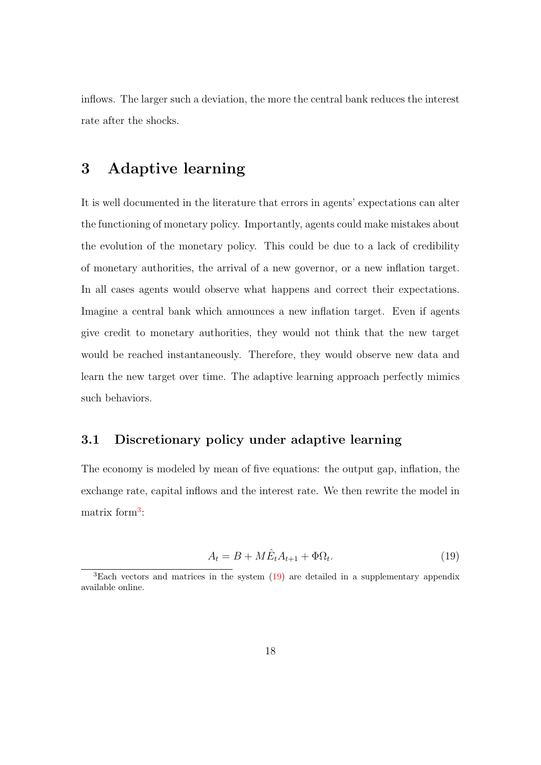inflows. The larger such a deviation, the more the central bank reduces the interest rate after the shocks.

### 3 Adaptive learning

It is well documented in the literature that errors in agents' expectations can alter the functioning of monetary policy. Importantly, agents could make mistakes about the evolution of the monetary policy. This could be due to a lack of credibility of monetary authorities, the arrival of a new governor, or a new inflation target. In all cases agents would observe what happens and correct their expectations. Imagine a central bank which announces a new inflation target. Even if agents give credit to monetary authorities, they would not think that the new target would be reached instantaneously. Therefore, they would observe new data and learn the new target over time. The adaptive learning approach perfectly mimics such behaviors.

### 3.1 Discretionary policy under adaptive learning

The economy is modeled by mean of five equations: the output gap, inflation, the exchange rate, capital inflows and the interest rate. We then rewrite the model in matrix form<sup>[3](#page-18-0)</sup>:

<span id="page-18-1"></span>
$$
A_t = B + M\hat{E}_t A_{t+1} + \Phi \Omega_t. \tag{19}
$$

<span id="page-18-0"></span> ${}^{3}$ Each vectors and matrices in the system  $(19)$  are detailed in a supplementary appendix available online.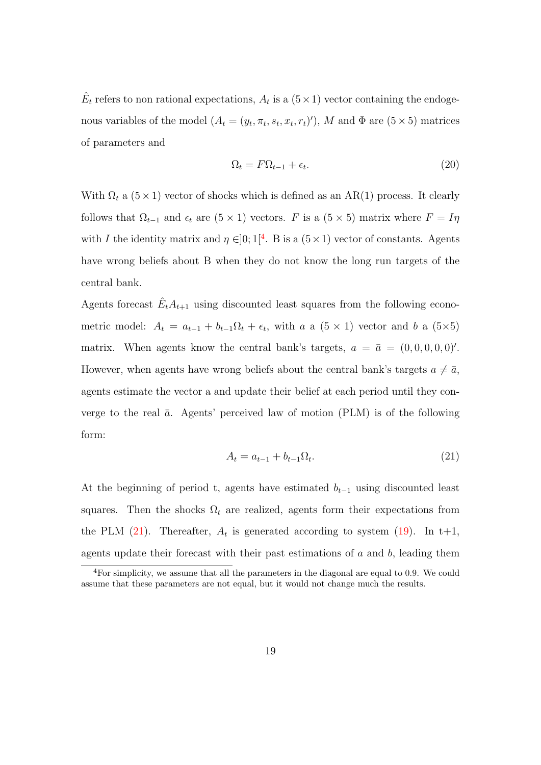$\hat{E}_t$  refers to non rational expectations,  $A_t$  is a  $(5 \times 1)$  vector containing the endogenous variables of the model  $(A_t = (y_t, \pi_t, s_t, x_t, r_t)')$ , M and  $\Phi$  are  $(5 \times 5)$  matrices of parameters and

$$
\Omega_t = F\Omega_{t-1} + \epsilon_t. \tag{20}
$$

With  $\Omega_t$  a  $(5 \times 1)$  vector of shocks which is defined as an AR(1) process. It clearly follows that  $\Omega_{t-1}$  and  $\epsilon_t$  are  $(5 \times 1)$  vectors. F is a  $(5 \times 5)$  matrix where  $F = I\eta$ with I the identity matrix and  $\eta \in ]0;1]^4$  $\eta \in ]0;1]^4$ . B is a  $(5 \times 1)$  vector of constants. Agents have wrong beliefs about B when they do not know the long run targets of the central bank.

Agents forecast  $\hat{E}_t A_{t+1}$  using discounted least squares from the following econometric model:  $A_t = a_{t-1} + b_{t-1}\Omega_t + \epsilon_t$ , with a a  $(5 \times 1)$  vector and b a  $(5 \times 5)$ matrix. When agents know the central bank's targets,  $a = \bar{a} = (0, 0, 0, 0, 0)$ '. However, when agents have wrong beliefs about the central bank's targets  $a \neq \overline{a}$ , agents estimate the vector a and update their belief at each period until they converge to the real  $\bar{a}$ . Agents' perceived law of motion (PLM) is of the following form:

<span id="page-19-1"></span>
$$
A_t = a_{t-1} + b_{t-1} \Omega_t.
$$
\n(21)

At the beginning of period t, agents have estimated  $b_{t-1}$  using discounted least squares. Then the shocks  $\Omega_t$  are realized, agents form their expectations from the PLM [\(21\)](#page-19-1). Thereafter,  $A_t$  is generated according to system [\(19\)](#page-18-1). In t+1, agents update their forecast with their past estimations of  $a$  and  $b$ , leading them

<span id="page-19-0"></span><sup>4</sup>For simplicity, we assume that all the parameters in the diagonal are equal to 0.9. We could assume that these parameters are not equal, but it would not change much the results.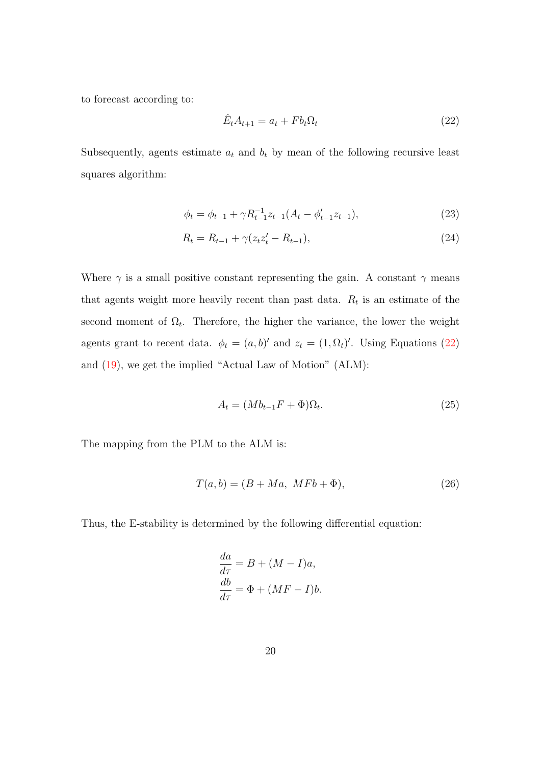to forecast according to:

<span id="page-20-0"></span>
$$
\hat{E}_t A_{t+1} = a_t + F b_t \Omega_t \tag{22}
$$

Subsequently, agents estimate  $a_t$  and  $b_t$  by mean of the following recursive least squares algorithm:

$$
\phi_t = \phi_{t-1} + \gamma R_{t-1}^{-1} z_{t-1} (A_t - \phi_{t-1}' z_{t-1}), \tag{23}
$$

$$
R_t = R_{t-1} + \gamma (z_t z_t' - R_{t-1}), \qquad (24)
$$

Where  $\gamma$  is a small positive constant representing the gain. A constant  $\gamma$  means that agents weight more heavily recent than past data.  $R_t$  is an estimate of the second moment of  $\Omega_t$ . Therefore, the higher the variance, the lower the weight agents grant to recent data.  $\phi_t = (a, b)'$  and  $z_t = (1, \Omega_t)'$ . Using Equations [\(22\)](#page-20-0) and [\(19\)](#page-18-1), we get the implied "Actual Law of Motion" (ALM):

$$
A_t = (Mb_{t-1}F + \Phi)\Omega_t.
$$
\n
$$
(25)
$$

The mapping from the PLM to the ALM is:

$$
T(a,b) = (B + Ma, \; MFb + \Phi),\tag{26}
$$

Thus, the E-stability is determined by the following differential equation:

$$
\frac{da}{d\tau} = B + (M - I)a,
$$
  

$$
\frac{db}{d\tau} = \Phi + (MF - I)b.
$$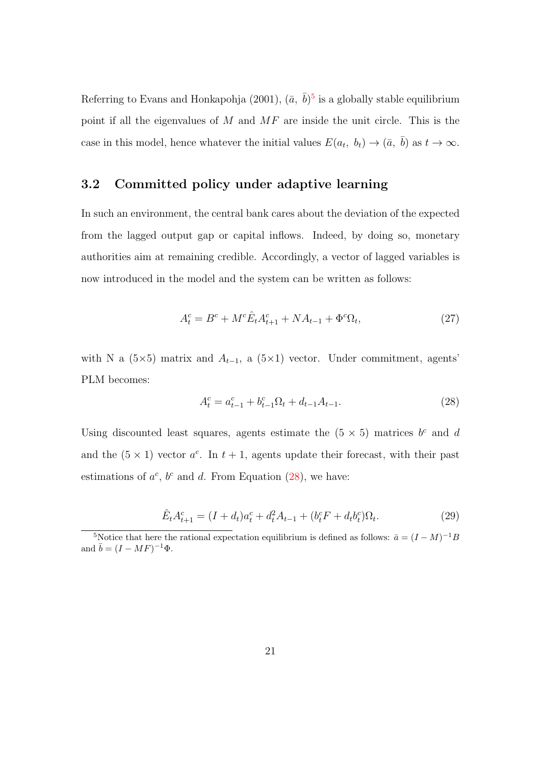Referring to Evans and Honkapohja [\(2001\)](#page-31-11),  $(\bar{a}, \bar{b})^5$  $(\bar{a}, \bar{b})^5$  is a globally stable equilibrium point if all the eigenvalues of  $M$  and  $MF$  are inside the unit circle. This is the case in this model, hence whatever the initial values  $E(a_t, b_t) \to (\bar{a}, \bar{b})$  as  $t \to \infty$ .

### 3.2 Committed policy under adaptive learning

In such an environment, the central bank cares about the deviation of the expected from the lagged output gap or capital inflows. Indeed, by doing so, monetary authorities aim at remaining credible. Accordingly, a vector of lagged variables is now introduced in the model and the system can be written as follows:

<span id="page-21-3"></span>
$$
A_t^c = B^c + M^c \hat{E}_t A_{t+1}^c + N A_{t-1} + \Phi^c \Omega_t, \tag{27}
$$

with N a (5×5) matrix and  $A_{t-1}$ , a (5×1) vector. Under commitment, agents' PLM becomes:

<span id="page-21-1"></span>
$$
A_t^c = a_{t-1}^c + b_{t-1}^c \Omega_t + d_{t-1} A_{t-1}.
$$
\n(28)

Using discounted least squares, agents estimate the  $(5 \times 5)$  matrices  $b^c$  and d and the  $(5 \times 1)$  vector  $a^c$ . In  $t + 1$ , agents update their forecast, with their past estimations of  $a^c$ ,  $b^c$  and d. From Equation [\(28\)](#page-21-1), we have:

<span id="page-21-2"></span>
$$
\hat{E}_t A_{t+1}^c = (I + d_t)a_t^c + d_t^2 A_{t-1} + (b_t^c F + d_t b_t^c) \Omega_t.
$$
\n(29)

<span id="page-21-0"></span><sup>&</sup>lt;sup>5</sup>Notice that here the rational expectation equilibrium is defined as follows:  $\bar{a} = (I - M)^{-1}B$ and  $\bar{b} = (I - MF)^{-1}\Phi$ .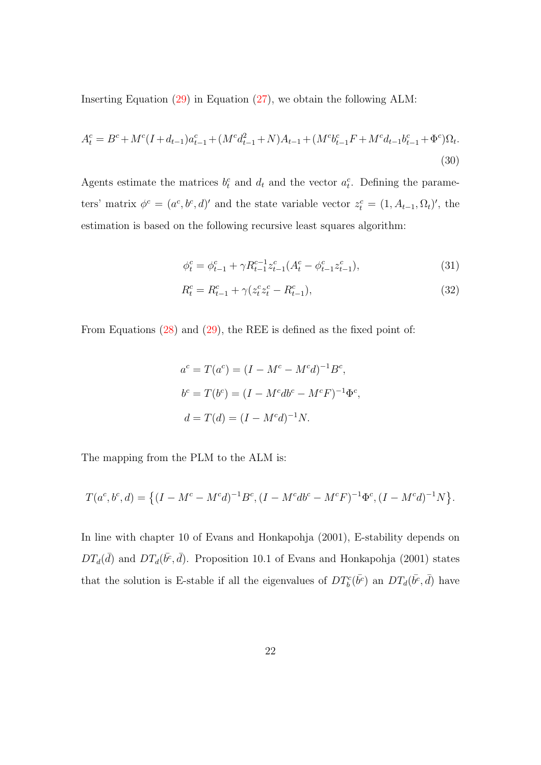Inserting Equation  $(29)$  in Equation  $(27)$ , we obtain the following ALM:

$$
A_t^c = B^c + M^c (I + d_{t-1}) a_{t-1}^c + (M^c d_{t-1}^2 + N) A_{t-1} + (M^c b_{t-1}^c F + M^c d_{t-1} b_{t-1}^c + \Phi^c) \Omega_t.
$$
\n(30)

Agents estimate the matrices  $b_t^c$  and  $d_t$  and the vector  $a_t^c$ . Defining the parameters' matrix  $\phi^c = (a^c, b^c, d)'$  and the state variable vector  $z_t^c = (1, A_{t-1}, \Omega_t)'$ , the estimation is based on the following recursive least squares algorithm:

$$
\phi_t^c = \phi_{t-1}^c + \gamma R_{t-1}^{c-1} z_{t-1}^c (A_t^c - \phi_{t-1}^c z_{t-1}^c),\tag{31}
$$

$$
R_t^c = R_{t-1}^c + \gamma (z_t^c z_t^c - R_{t-1}^c), \tag{32}
$$

From Equations [\(28\)](#page-21-1) and [\(29\)](#page-21-2), the REE is defined as the fixed point of:

$$
a^{c} = T(a^{c}) = (I - M^{c} - M^{c}d)^{-1}B^{c},
$$
  
\n
$$
b^{c} = T(b^{c}) = (I - M^{c}db^{c} - M^{c}F)^{-1}\Phi^{c},
$$
  
\n
$$
d = T(d) = (I - M^{c}d)^{-1}N.
$$

The mapping from the PLM to the ALM is:

<span id="page-22-0"></span>
$$
T(a^c, b^c, d) = \left\{ (I - M^c - M^c d)^{-1} B^c, (I - M^c d b^c - M^c F)^{-1} \Phi^c, (I - M^c d)^{-1} N \right\}.
$$

In line with chapter 10 of Evans and Honkapohja [\(2001\)](#page-31-11), E-stability depends on  $DT_d(\bar{d})$  and  $DT_d(\bar{b^c}, \bar{d})$ . Proposition 10.1 of Evans and Honkapohja [\(2001\)](#page-31-11) states that the solution is E-stable if all the eigenvalues of  $DT_b^c(\bar{b}^c)$  an  $DT_d(\bar{b}^c, \bar{d})$  have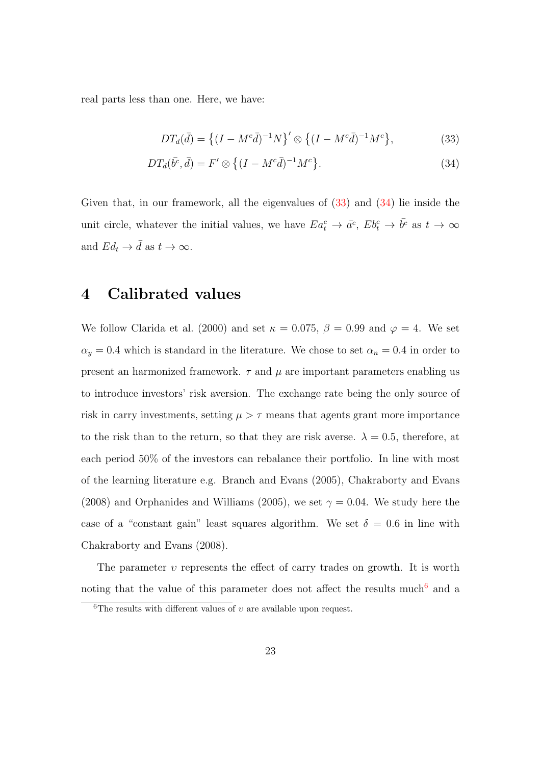real parts less than one. Here, we have:

<span id="page-23-0"></span>
$$
DT_d(\bar{d}) = \left\{ (I - M^c \bar{d})^{-1} N \right\}' \otimes \left\{ (I - M^c \bar{d})^{-1} M^c \right\},\tag{33}
$$

$$
DT_d(\bar{b^c}, \bar{d}) = F' \otimes \left\{ (I - M^c \bar{d})^{-1} M^c \right\}.
$$
\n(34)

Given that, in our framework, all the eigenvalues of  $(33)$  and  $(34)$  lie inside the unit circle, whatever the initial values, we have  $E a_t^c \to \bar{a}^c$ ,  $E b_t^c \to \bar{b}^c$  as  $t \to \infty$ and  $Ed_t \rightarrow \bar{d}$  as  $t \rightarrow \infty$ .

### 4 Calibrated values

We follow Clarida et al. [\(2000\)](#page-31-12) and set  $\kappa = 0.075$ ,  $\beta = 0.99$  and  $\varphi = 4$ . We set  $\alpha_y = 0.4$  which is standard in the literature. We chose to set  $\alpha_n = 0.4$  in order to present an harmonized framework.  $\tau$  and  $\mu$  are important parameters enabling us to introduce investors' risk aversion. The exchange rate being the only source of risk in carry investments, setting  $\mu > \tau$  means that agents grant more importance to the risk than to the return, so that they are risk averse.  $\lambda = 0.5$ , therefore, at each period 50% of the investors can rebalance their portfolio. In line with most of the learning literature e.g. Branch and Evans [\(2005\)](#page-31-13), Chakraborty and Evans [\(2008\)](#page-31-10) and Orphanides and Williams [\(2005\)](#page-32-9), we set  $\gamma = 0.04$ . We study here the case of a "constant gain" least squares algorithm. We set  $\delta = 0.6$  in line with Chakraborty and Evans [\(2008\)](#page-31-10).

The parameter  $v$  represents the effect of carry trades on growth. It is worth noting that the value of this parameter does not affect the results much<sup> $6$ </sup> and a

<span id="page-23-1"></span><sup>&</sup>lt;sup>6</sup>The results with different values of  $v$  are available upon request.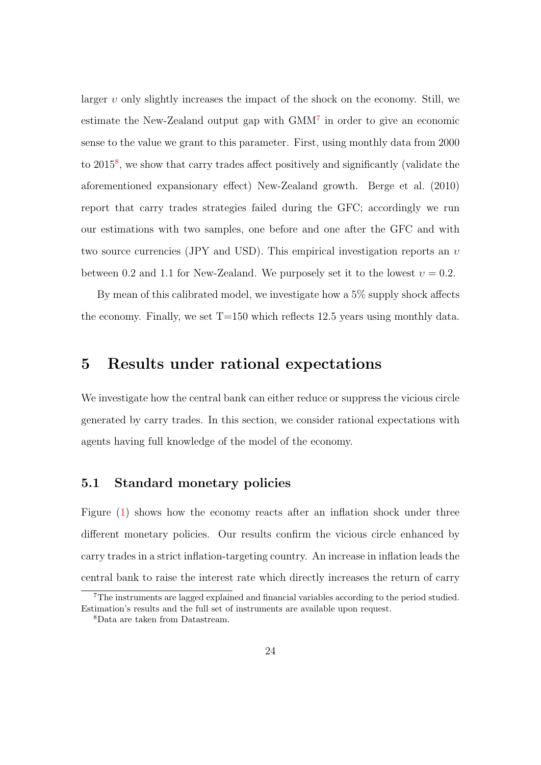larger  $v$  only slightly increases the impact of the shock on the economy. Still, we estimate the New-Zealand output gap with GMM<sup>[7](#page-24-0)</sup> in order to give an economic sense to the value we grant to this parameter. First, using monthly data from 2000 to 2015<sup>[8](#page-24-1)</sup>, we show that carry trades affect positively and significantly (validate the aforementioned expansionary effect) New-Zealand growth. Berge et al. [\(2010\)](#page-31-14) report that carry trades strategies failed during the GFC; accordingly we run our estimations with two samples, one before and one after the GFC and with two source currencies (JPY and USD). This empirical investigation reports an  $\upsilon$ between 0.2 and 1.1 for New-Zealand. We purposely set it to the lowest  $v = 0.2$ .

By mean of this calibrated model, we investigate how a 5% supply shock affects the economy. Finally, we set  $T=150$  which reflects 12.5 years using monthly data.

# 5 Results under rational expectations

We investigate how the central bank can either reduce or suppress the vicious circle generated by carry trades. In this section, we consider rational expectations with agents having full knowledge of the model of the economy.

### 5.1 Standard monetary policies

Figure [\(1\)](#page-34-0) shows how the economy reacts after an inflation shock under three different monetary policies. Our results confirm the vicious circle enhanced by carry trades in a strict inflation-targeting country. An increase in inflation leads the central bank to raise the interest rate which directly increases the return of carry

<span id="page-24-0"></span><sup>&</sup>lt;sup>7</sup>The instruments are lagged explained and financial variables according to the period studied. Estimation's results and the full set of instruments are available upon request.

<span id="page-24-1"></span><sup>8</sup>Data are taken from Datastream.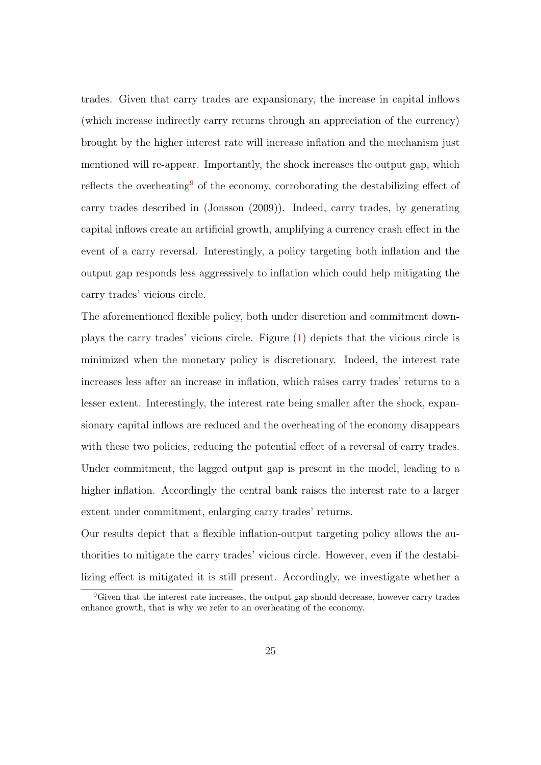trades. Given that carry trades are expansionary, the increase in capital inflows (which increase indirectly carry returns through an appreciation of the currency) brought by the higher interest rate will increase inflation and the mechanism just mentioned will re-appear. Importantly, the shock increases the output gap, which reflects the overheating of the economy, corroborating the destabilizing effect of carry trades described in (Jonsson [\(2009\)](#page-32-2)). Indeed, carry trades, by generating capital inflows create an artificial growth, amplifying a currency crash effect in the event of a carry reversal. Interestingly, a policy targeting both inflation and the output gap responds less aggressively to inflation which could help mitigating the carry trades' vicious circle.

The aforementioned flexible policy, both under discretion and commitment downplays the carry trades' vicious circle. Figure [\(1\)](#page-34-0) depicts that the vicious circle is minimized when the monetary policy is discretionary. Indeed, the interest rate increases less after an increase in inflation, which raises carry trades' returns to a lesser extent. Interestingly, the interest rate being smaller after the shock, expansionary capital inflows are reduced and the overheating of the economy disappears with these two policies, reducing the potential effect of a reversal of carry trades. Under commitment, the lagged output gap is present in the model, leading to a higher inflation. Accordingly the central bank raises the interest rate to a larger extent under commitment, enlarging carry trades' returns.

Our results depict that a flexible inflation-output targeting policy allows the authorities to mitigate the carry trades' vicious circle. However, even if the destabilizing effect is mitigated it is still present. Accordingly, we investigate whether a

<span id="page-25-0"></span><sup>9</sup>Given that the interest rate increases, the output gap should decrease, however carry trades enhance growth, that is why we refer to an overheating of the economy.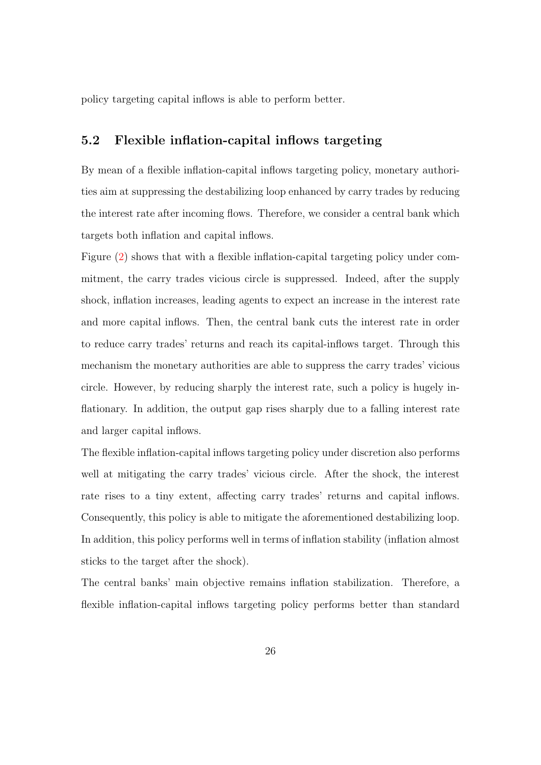policy targeting capital inflows is able to perform better.

### 5.2 Flexible inflation-capital inflows targeting

By mean of a flexible inflation-capital inflows targeting policy, monetary authorities aim at suppressing the destabilizing loop enhanced by carry trades by reducing the interest rate after incoming flows. Therefore, we consider a central bank which targets both inflation and capital inflows.

Figure [\(2\)](#page-35-0) shows that with a flexible inflation-capital targeting policy under commitment, the carry trades vicious circle is suppressed. Indeed, after the supply shock, inflation increases, leading agents to expect an increase in the interest rate and more capital inflows. Then, the central bank cuts the interest rate in order to reduce carry trades' returns and reach its capital-inflows target. Through this mechanism the monetary authorities are able to suppress the carry trades' vicious circle. However, by reducing sharply the interest rate, such a policy is hugely inflationary. In addition, the output gap rises sharply due to a falling interest rate and larger capital inflows.

The flexible inflation-capital inflows targeting policy under discretion also performs well at mitigating the carry trades' vicious circle. After the shock, the interest rate rises to a tiny extent, affecting carry trades' returns and capital inflows. Consequently, this policy is able to mitigate the aforementioned destabilizing loop. In addition, this policy performs well in terms of inflation stability (inflation almost sticks to the target after the shock).

The central banks' main objective remains inflation stabilization. Therefore, a flexible inflation-capital inflows targeting policy performs better than standard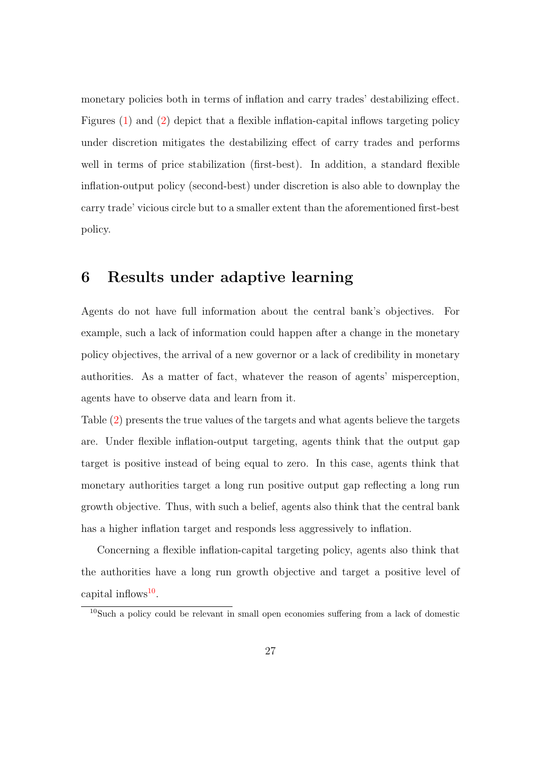monetary policies both in terms of inflation and carry trades' destabilizing effect. Figures [\(1\)](#page-34-0) and [\(2\)](#page-35-0) depict that a flexible inflation-capital inflows targeting policy under discretion mitigates the destabilizing effect of carry trades and performs well in terms of price stabilization (first-best). In addition, a standard flexible inflation-output policy (second-best) under discretion is also able to downplay the carry trade' vicious circle but to a smaller extent than the aforementioned first-best policy.

# 6 Results under adaptive learning

Agents do not have full information about the central bank's objectives. For example, such a lack of information could happen after a change in the monetary policy objectives, the arrival of a new governor or a lack of credibility in monetary authorities. As a matter of fact, whatever the reason of agents' misperception, agents have to observe data and learn from it.

Table [\(2\)](#page-33-0) presents the true values of the targets and what agents believe the targets are. Under flexible inflation-output targeting, agents think that the output gap target is positive instead of being equal to zero. In this case, agents think that monetary authorities target a long run positive output gap reflecting a long run growth objective. Thus, with such a belief, agents also think that the central bank has a higher inflation target and responds less aggressively to inflation.

Concerning a flexible inflation-capital targeting policy, agents also think that the authorities have a long run growth objective and target a positive level of capital inflows<sup>[10](#page-27-0)</sup>.

<span id="page-27-0"></span> $10S$ uch a policy could be relevant in small open economies suffering from a lack of domestic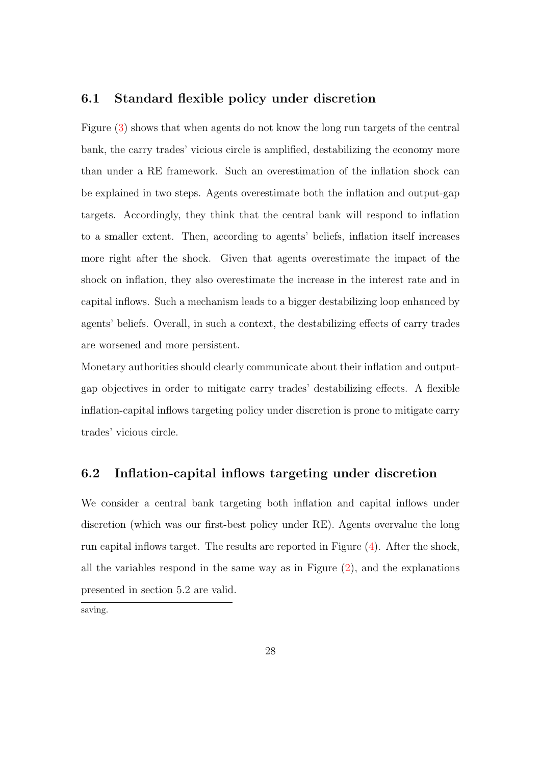#### 6.1 Standard flexible policy under discretion

Figure [\(3\)](#page-35-1) shows that when agents do not know the long run targets of the central bank, the carry trades' vicious circle is amplified, destabilizing the economy more than under a RE framework. Such an overestimation of the inflation shock can be explained in two steps. Agents overestimate both the inflation and output-gap targets. Accordingly, they think that the central bank will respond to inflation to a smaller extent. Then, according to agents' beliefs, inflation itself increases more right after the shock. Given that agents overestimate the impact of the shock on inflation, they also overestimate the increase in the interest rate and in capital inflows. Such a mechanism leads to a bigger destabilizing loop enhanced by agents' beliefs. Overall, in such a context, the destabilizing effects of carry trades are worsened and more persistent.

Monetary authorities should clearly communicate about their inflation and outputgap objectives in order to mitigate carry trades' destabilizing effects. A flexible inflation-capital inflows targeting policy under discretion is prone to mitigate carry trades' vicious circle.

### 6.2 Inflation-capital inflows targeting under discretion

We consider a central bank targeting both inflation and capital inflows under discretion (which was our first-best policy under RE). Agents overvalue the long run capital inflows target. The results are reported in Figure [\(4\)](#page-36-0). After the shock, all the variables respond in the same way as in Figure  $(2)$ , and the explanations presented in section 5.2 are valid.

saving.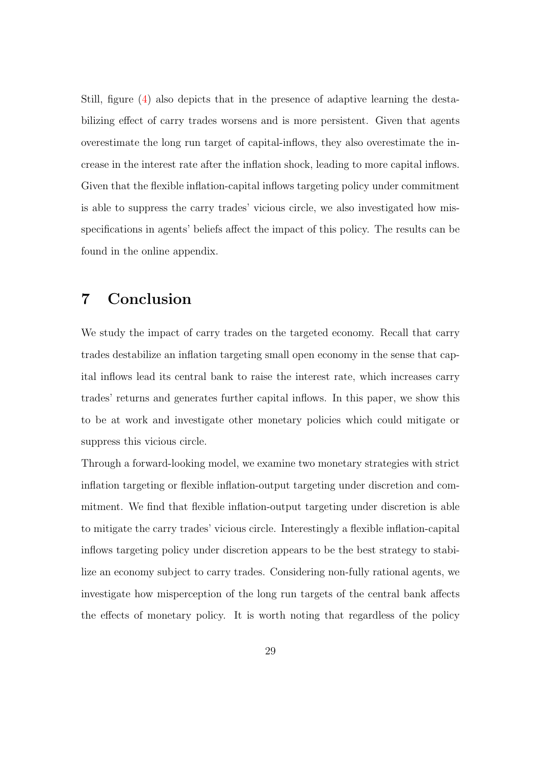Still, figure [\(4\)](#page-36-0) also depicts that in the presence of adaptive learning the destabilizing effect of carry trades worsens and is more persistent. Given that agents overestimate the long run target of capital-inflows, they also overestimate the increase in the interest rate after the inflation shock, leading to more capital inflows. Given that the flexible inflation-capital inflows targeting policy under commitment is able to suppress the carry trades' vicious circle, we also investigated how misspecifications in agents' beliefs affect the impact of this policy. The results can be found in the online appendix.

# 7 Conclusion

We study the impact of carry trades on the targeted economy. Recall that carry trades destabilize an inflation targeting small open economy in the sense that capital inflows lead its central bank to raise the interest rate, which increases carry trades' returns and generates further capital inflows. In this paper, we show this to be at work and investigate other monetary policies which could mitigate or suppress this vicious circle.

Through a forward-looking model, we examine two monetary strategies with strict inflation targeting or flexible inflation-output targeting under discretion and commitment. We find that flexible inflation-output targeting under discretion is able to mitigate the carry trades' vicious circle. Interestingly a flexible inflation-capital inflows targeting policy under discretion appears to be the best strategy to stabilize an economy subject to carry trades. Considering non-fully rational agents, we investigate how misperception of the long run targets of the central bank affects the effects of monetary policy. It is worth noting that regardless of the policy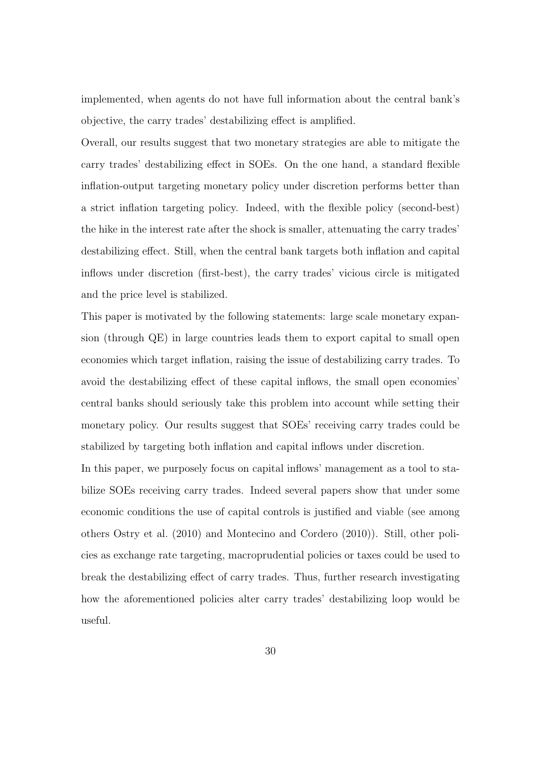implemented, when agents do not have full information about the central bank's objective, the carry trades' destabilizing effect is amplified.

Overall, our results suggest that two monetary strategies are able to mitigate the carry trades' destabilizing effect in SOEs. On the one hand, a standard flexible inflation-output targeting monetary policy under discretion performs better than a strict inflation targeting policy. Indeed, with the flexible policy (second-best) the hike in the interest rate after the shock is smaller, attenuating the carry trades' destabilizing effect. Still, when the central bank targets both inflation and capital inflows under discretion (first-best), the carry trades' vicious circle is mitigated and the price level is stabilized.

This paper is motivated by the following statements: large scale monetary expansion (through QE) in large countries leads them to export capital to small open economies which target inflation, raising the issue of destabilizing carry trades. To avoid the destabilizing effect of these capital inflows, the small open economies' central banks should seriously take this problem into account while setting their monetary policy. Our results suggest that SOEs' receiving carry trades could be stabilized by targeting both inflation and capital inflows under discretion.

In this paper, we purposely focus on capital inflows' management as a tool to stabilize SOEs receiving carry trades. Indeed several papers show that under some economic conditions the use of capital controls is justified and viable (see among others Ostry et al. [\(2010\)](#page-32-10) and Montecino and Cordero [\(2010\)](#page-32-11)). Still, other policies as exchange rate targeting, macroprudential policies or taxes could be used to break the destabilizing effect of carry trades. Thus, further research investigating how the aforementioned policies alter carry trades' destabilizing loop would be useful.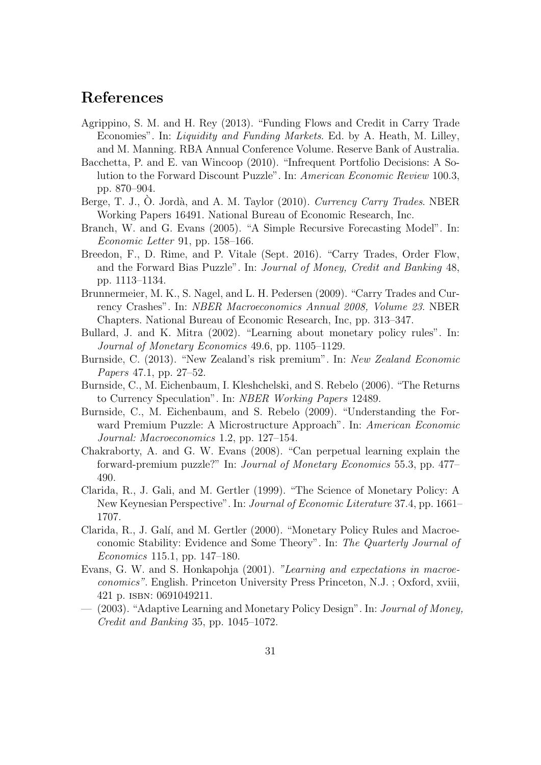# References

- <span id="page-31-1"></span>Agrippino, S. M. and H. Rey (2013). "Funding Flows and Credit in Carry Trade Economies". In: Liquidity and Funding Markets. Ed. by A. Heath, M. Lilley, and M. Manning. RBA Annual Conference Volume. Reserve Bank of Australia.
- <span id="page-31-3"></span>Bacchetta, P. and E. van Wincoop (2010). "Infrequent Portfolio Decisions: A Solution to the Forward Discount Puzzle". In: American Economic Review 100.3, pp. 870–904.
- <span id="page-31-14"></span>Berge, T. J., O. Jordà, and A. M. Taylor (2010). Currency Carry Trades. NBER Working Papers 16491. National Bureau of Economic Research, Inc.
- <span id="page-31-13"></span>Branch, W. and G. Evans (2005). "A Simple Recursive Forecasting Model". In: Economic Letter 91, pp. 158–166.
- <span id="page-31-6"></span>Breedon, F., D. Rime, and P. Vitale (Sept. 2016). "Carry Trades, Order Flow, and the Forward Bias Puzzle". In: Journal of Money, Credit and Banking 48, pp. 1113–1134.
- <span id="page-31-2"></span>Brunnermeier, M. K., S. Nagel, and L. H. Pedersen (2009). "Carry Trades and Currency Crashes". In: NBER Macroeconomics Annual 2008, Volume 23. NBER Chapters. National Bureau of Economic Research, Inc, pp. 313–347.
- <span id="page-31-7"></span>Bullard, J. and K. Mitra (2002). "Learning about monetary policy rules". In: Journal of Monetary Economics 49.6, pp. 1105–1129.
- <span id="page-31-0"></span>Burnside, C. (2013). "New Zealand's risk premium". In: New Zealand Economic Papers 47.1, pp. 27–52.
- <span id="page-31-4"></span>Burnside, C., M. Eichenbaum, I. Kleshchelski, and S. Rebelo (2006). "The Returns to Currency Speculation". In: NBER Working Papers 12489.
- <span id="page-31-5"></span>Burnside, C., M. Eichenbaum, and S. Rebelo (2009). "Understanding the Forward Premium Puzzle: A Microstructure Approach". In: American Economic Journal: Macroeconomics 1.2, pp. 127–154.
- <span id="page-31-10"></span>Chakraborty, A. and G. W. Evans (2008). "Can perpetual learning explain the forward-premium puzzle?" In: Journal of Monetary Economics 55.3, pp. 477– 490.
- <span id="page-31-9"></span>Clarida, R., J. Gali, and M. Gertler (1999). "The Science of Monetary Policy: A New Keynesian Perspective". In: Journal of Economic Literature 37.4, pp. 1661– 1707.
- <span id="page-31-12"></span>Clarida, R., J. Galí, and M. Gertler (2000). "Monetary Policy Rules and Macroeconomic Stability: Evidence and Some Theory". In: The Quarterly Journal of Economics 115.1, pp. 147–180.
- <span id="page-31-11"></span>Evans, G. W. and S. Honkapohja (2001). "Learning and expectations in macroeconomics". English. Princeton University Press Princeton, N.J. ; Oxford, xviii, 421 p. isbn: 0691049211.
- <span id="page-31-8"></span>— (2003). "Adaptive Learning and Monetary Policy Design". In: Journal of Money, Credit and Banking 35, pp. 1045–1072.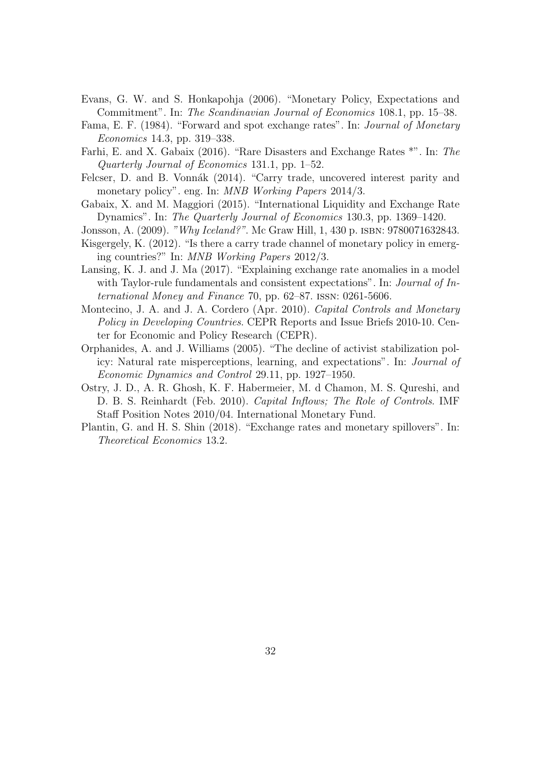- <span id="page-32-8"></span>Evans, G. W. and S. Honkapohja (2006). "Monetary Policy, Expectations and Commitment". In: The Scandinavian Journal of Economics 108.1, pp. 15–38.
- <span id="page-32-6"></span>Fama, E. F. (1984). "Forward and spot exchange rates". In: Journal of Monetary Economics 14.3, pp. 319–338.
- <span id="page-32-3"></span>Farhi, E. and X. Gabaix (2016). "Rare Disasters and Exchange Rates \*". In: The Quarterly Journal of Economics 131.1, pp. 1–52.
- <span id="page-32-1"></span>Felcser, D. and B. Vonnák (2014). "Carry trade, uncovered interest parity and monetary policy". eng. In: MNB Working Papers 2014/3.
- <span id="page-32-4"></span>Gabaix, X. and M. Maggiori (2015). "International Liquidity and Exchange Rate Dynamics". In: The Quarterly Journal of Economics 130.3, pp. 1369–1420.
- <span id="page-32-2"></span>Jonsson, A. (2009). "Why Iceland?". Mc Graw Hill, 1, 430 p. ISBN: 9780071632843.
- <span id="page-32-0"></span>Kisgergely, K. (2012). "Is there a carry trade channel of monetary policy in emerging countries?" In: MNB Working Papers 2012/3.
- <span id="page-32-7"></span>Lansing, K. J. and J. Ma (2017). "Explaining exchange rate anomalies in a model with Taylor-rule fundamentals and consistent expectations". In: *Journal of In*ternational Money and Finance 70, pp. 62–87. issn: 0261-5606.
- <span id="page-32-11"></span>Montecino, J. A. and J. A. Cordero (Apr. 2010). Capital Controls and Monetary Policy in Developing Countries. CEPR Reports and Issue Briefs 2010-10. Center for Economic and Policy Research (CEPR).
- <span id="page-32-9"></span>Orphanides, A. and J. Williams (2005). "The decline of activist stabilization policy: Natural rate misperceptions, learning, and expectations". In: Journal of Economic Dynamics and Control 29.11, pp. 1927–1950.
- <span id="page-32-10"></span>Ostry, J. D., A. R. Ghosh, K. F. Habermeier, M. d Chamon, M. S. Qureshi, and D. B. S. Reinhardt (Feb. 2010). Capital Inflows; The Role of Controls. IMF Staff Position Notes 2010/04. International Monetary Fund.
- <span id="page-32-5"></span>Plantin, G. and H. S. Shin (2018). "Exchange rates and monetary spillovers". In: Theoretical Economics 13.2.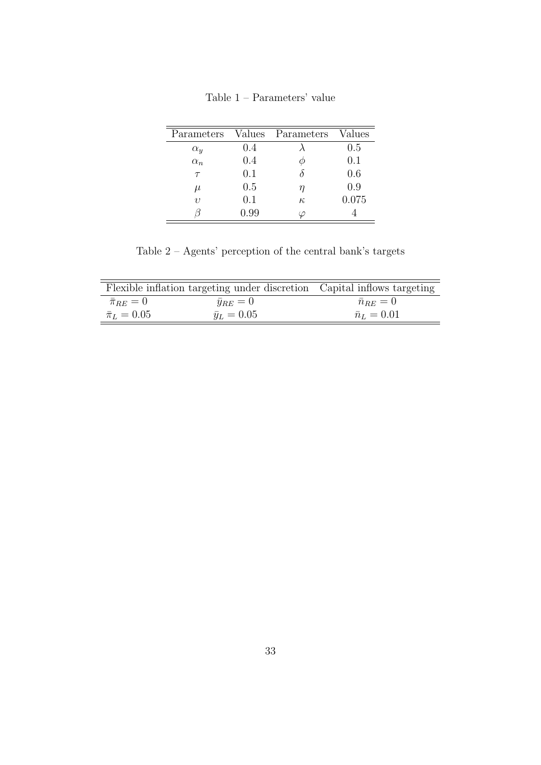| Parameters | Values | Parameters | Values |
|------------|--------|------------|--------|
| $\alpha_y$ | 0.4    |            | 0.5    |
| $\alpha_n$ | 0.4    |            | 0.1    |
| $\tau$     | 0.1    |            | 0.6    |
| $\mu$      | 0.5    | η          | 0.9    |
| $\eta$     | 0.1    | $\kappa$   | 0.075  |
|            | 0.99   |            |        |

Table  $2$  – Agents' perception of the central bank's targets

<span id="page-33-0"></span>

|                      |                    | Flexible inflation targeting under discretion Capital inflows targeting |  |
|----------------------|--------------------|-------------------------------------------------------------------------|--|
| $\bar{\pi}_{RE}=0$   | $\bar{y}_{RE}=0$   | $\bar{n}_{RE}=0$                                                        |  |
| $\bar{\pi}_L = 0.05$ | $\bar{y}_L = 0.05$ | $\bar{n}_L = 0.01$                                                      |  |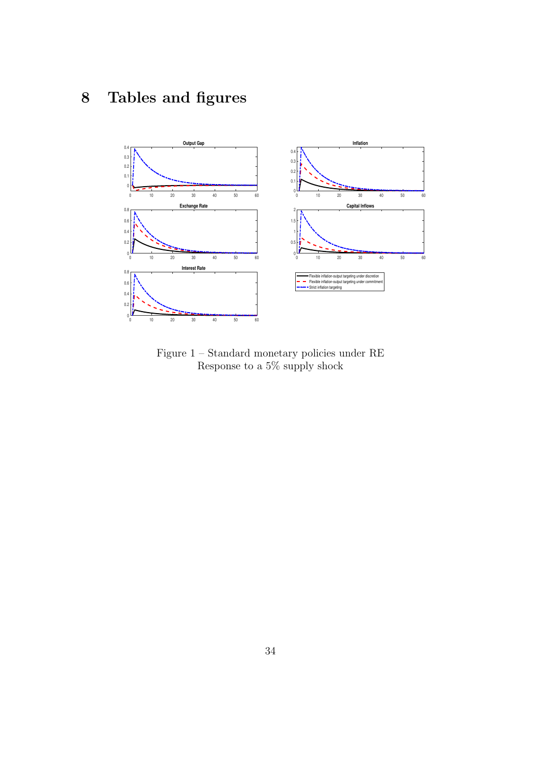# 8 Tables and figures

<span id="page-34-0"></span>

Figure 1 – Standard monetary policies under RE Response to a  $5\%$  supply shock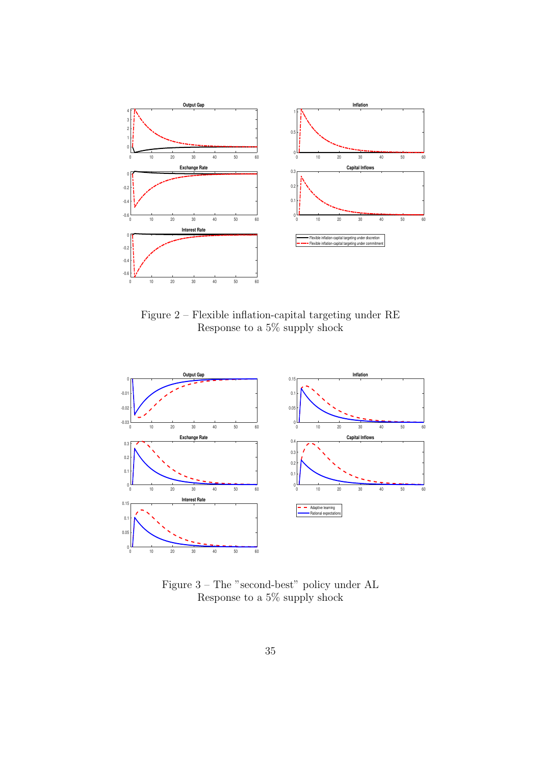<span id="page-35-0"></span>

Figure 2 – Flexible inflation-capital targeting under RE Response to a 5% supply shock

<span id="page-35-1"></span>

Figure  $3$  – The "second-best" policy under  ${\rm AL}$ Response to a 5% supply shock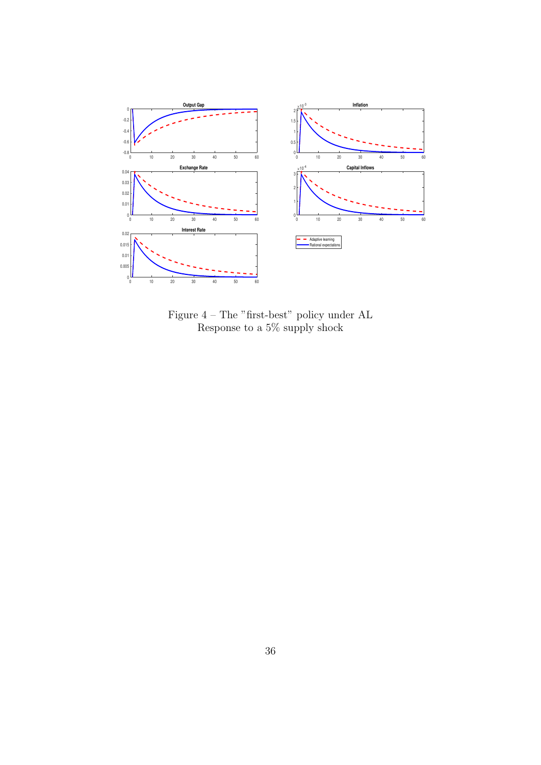<span id="page-36-0"></span>

Figure  $4$  – The "first-best" policy under  ${\rm AL}$ Response to a 5% supply shock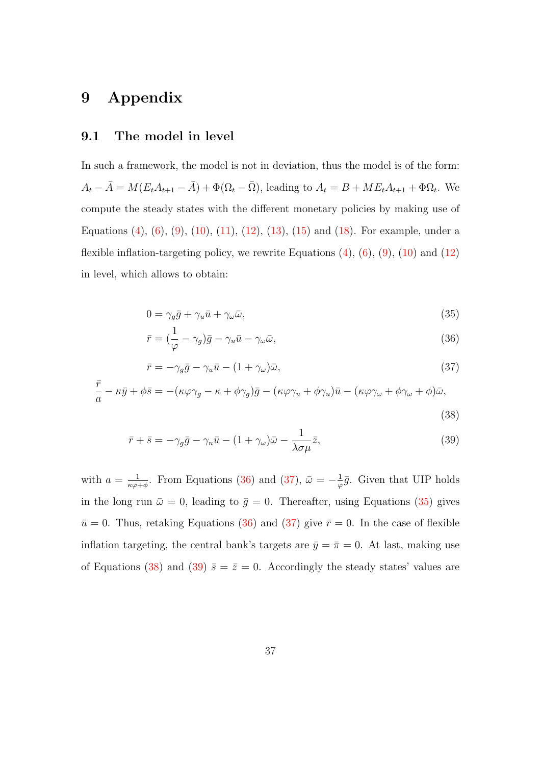# 9 Appendix

#### 9.1 The model in level

In such a framework, the model is not in deviation, thus the model is of the form:  $A_t - \overline{A} = M(E_t A_{t+1} - \overline{A}) + \Phi(\Omega_t - \overline{\Omega})$ , leading to  $A_t = B + M E_t A_{t+1} + \Phi \Omega_t$ . We compute the steady states with the different monetary policies by making use of Equations [\(4\)](#page-8-3), [\(6\)](#page-9-0), [\(9\)](#page-12-0), [\(10\)](#page-12-1), [\(11\)](#page-13-0), [\(12\)](#page-14-0), [\(13\)](#page-15-0), [\(15\)](#page-16-0) and [\(18\)](#page-17-2). For example, under a flexible inflation-targeting policy, we rewrite Equations  $(4)$ ,  $(6)$ ,  $(9)$ ,  $(10)$  and  $(12)$ in level, which allows to obtain:

<span id="page-37-2"></span>
$$
0 = \gamma_g \bar{g} + \gamma_u \bar{u} + \gamma_\omega \bar{\omega},\tag{35}
$$

<span id="page-37-0"></span>
$$
\bar{r} = \left(\frac{1}{\varphi} - \gamma_g\right)\bar{g} - \gamma_u\bar{u} - \gamma_\omega\bar{\omega},\tag{36}
$$

<span id="page-37-4"></span><span id="page-37-3"></span><span id="page-37-1"></span>
$$
\bar{r} = -\gamma_g \bar{g} - \gamma_u \bar{u} - (1 + \gamma_\omega)\bar{\omega},\tag{37}
$$

$$
\frac{\bar{r}}{a} - \kappa \bar{y} + \phi \bar{s} = -(\kappa \varphi \gamma_g - \kappa + \phi \gamma_g) \bar{g} - (\kappa \varphi \gamma_u + \phi \gamma_u) \bar{u} - (\kappa \varphi \gamma_\omega + \phi \gamma_\omega + \phi) \bar{\omega},
$$
\n(38)

$$
\bar{r} + \bar{s} = -\gamma_g \bar{g} - \gamma_u \bar{u} - (1 + \gamma_\omega)\bar{\omega} - \frac{1}{\lambda \sigma \mu} \bar{z},\tag{39}
$$

with  $a = \frac{1}{\kappa a}$  $\frac{1}{\kappa\varphi+\phi}$ . From Equations [\(36\)](#page-37-0) and [\(37\)](#page-37-1),  $\bar{\omega}=-\frac{1}{\varphi}$  $\frac{1}{\varphi}\bar{g}$ . Given that UIP holds in the long run  $\bar{\omega} = 0$ , leading to  $\bar{g} = 0$ . Thereafter, using Equations [\(35\)](#page-37-2) gives  $\bar{u}=0$ . Thus, retaking Equations [\(36\)](#page-37-0) and [\(37\)](#page-37-1) give  $\bar{r}=0$ . In the case of flexible inflation targeting, the central bank's targets are  $\bar{y} = \bar{\pi} = 0$ . At last, making use of Equations [\(38\)](#page-37-3) and [\(39\)](#page-37-4)  $\bar{s} = \bar{z} = 0$ . Accordingly the steady states' values are